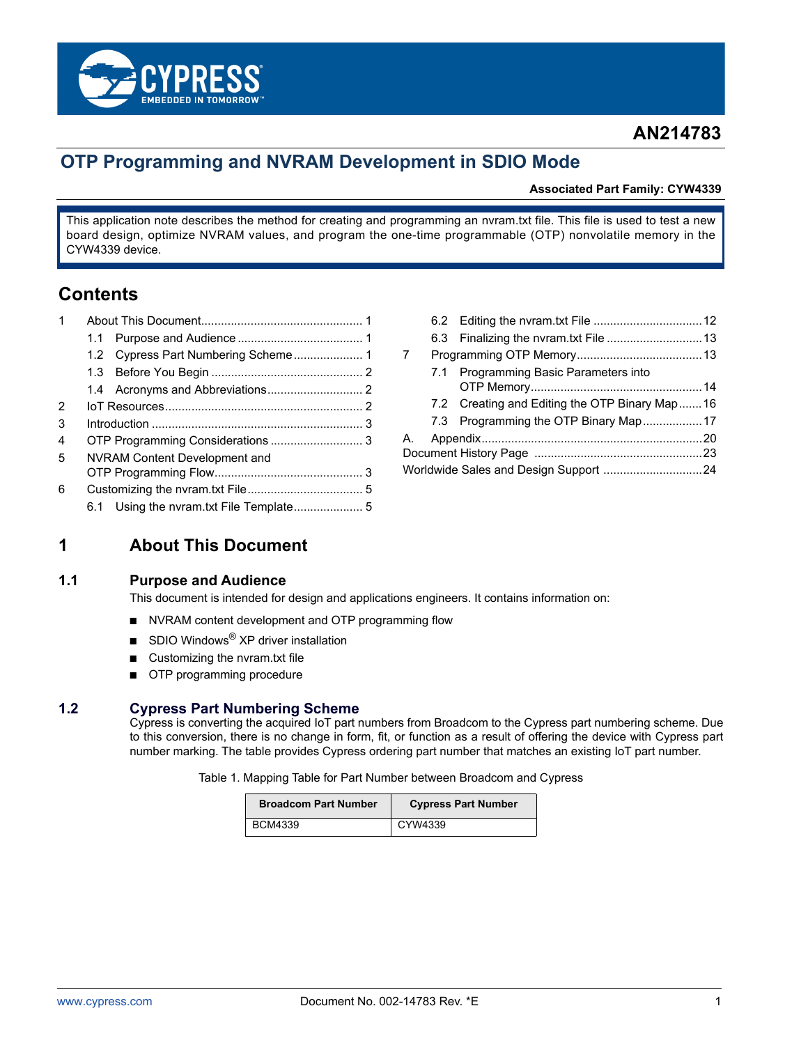

# **AN214783**

# **OTP Programming and NVRAM Development in SDIO Mode**

#### **Associated Part Family: CYW4339**

This application note describes the method for creating and programming an nvram.txt file. This file is used to test a new board design, optimize NVRAM values, and program the one-time programmable (OTP) nonvolatile memory in the CYW4339 device.

# **Contents**

| 1 |                               |  |  |
|---|-------------------------------|--|--|
|   | 1.1                           |  |  |
|   |                               |  |  |
|   |                               |  |  |
|   |                               |  |  |
| 2 |                               |  |  |
| 3 |                               |  |  |
| 4 |                               |  |  |
| 5 | NVRAM Content Development and |  |  |
|   |                               |  |  |
| 6 |                               |  |  |
|   |                               |  |  |
|   |                               |  |  |

| $\overline{7}$                        |  |                                               |  |  |  |  |  |
|---------------------------------------|--|-----------------------------------------------|--|--|--|--|--|
|                                       |  | 7.1 Programming Basic Parameters into         |  |  |  |  |  |
|                                       |  |                                               |  |  |  |  |  |
|                                       |  | 7.2 Creating and Editing the OTP Binary Map16 |  |  |  |  |  |
|                                       |  | 7.3 Programming the OTP Binary Map  17        |  |  |  |  |  |
| А. –                                  |  |                                               |  |  |  |  |  |
|                                       |  |                                               |  |  |  |  |  |
| Worldwide Sales and Design Support 24 |  |                                               |  |  |  |  |  |
|                                       |  |                                               |  |  |  |  |  |

## <span id="page-0-0"></span>**1 About This Document**

### <span id="page-0-1"></span>**1.1 Purpose and Audience**

This document is intended for design and applications engineers. It contains information on:

- NVRAM content development and OTP programming flow
- SDIO Windows<sup>®</sup> XP driver installation
- Customizing the nvram.txt file
- OTP programming procedure

#### <span id="page-0-2"></span>**1.2 Cypress Part Numbering Scheme**

Cypress is converting the acquired IoT part numbers from Broadcom to the Cypress part numbering scheme. Due to this conversion, there is no change in form, fit, or function as a result of offering the device with Cypress part number marking. The table provides Cypress ordering part number that matches an existing IoT part number.

Table 1. Mapping Table for Part Number between Broadcom and Cypress

| <b>Broadcom Part Number</b> | <b>Cypress Part Number</b> |
|-----------------------------|----------------------------|
| <b>BCM4339</b>              | CYW4339                    |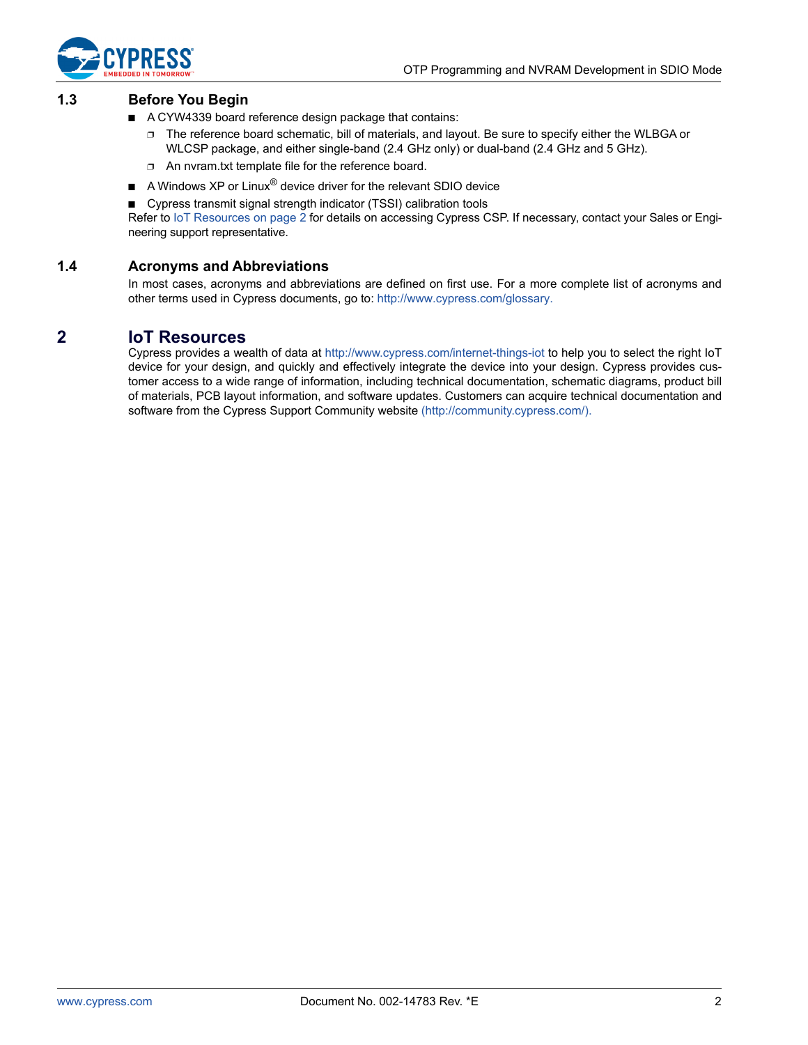

#### <span id="page-1-0"></span>**1.3 Before You Begin**

- A CYW4339 board reference design package that contains:
	- ❐ The reference board schematic, bill of materials, and layout. Be sure to specify either the WLBGA or WLCSP package, and either single-band (2.4 GHz only) or dual-band (2.4 GHz and 5 GHz).
	- ❐ An nvram.txt template file for the reference board.
- A Windows XP or Linux<sup>®</sup> device driver for the relevant SDIO device
- Cypress transmit signal strength indicator (TSSI) calibration tools

Refer to [IoT Resources on page 2](#page-1-2) for details on accessing Cypress CSP. If necessary, contact your Sales or Engineering support representative.

#### <span id="page-1-1"></span>**1.4 Acronyms and Abbreviations**

[In most cases, acronyms and abbreviations are defined on first use. For a more complete list of acronyms and](http://www.cypress.com/glossary) [other terms used in Cypress documents, go to:](http://www.cypress.com/glossary) http://www.cypress.com/glossary.

### <span id="page-1-2"></span>**2 IoT Resources**

Cypress provides a wealth of data at<http://www.cypress.com/internet-things-iot>to help you to select the right IoT device for your design, and quickly and effectively integrate the device into your design. Cypress provides customer access to a wide range of information, including technical documentation, schematic diagrams, product bill of materials, PCB layout information, and software updates. Customers can acquire technical documentation and software from the Cypress Support Community website [\(http://community.cypress.com/\).](http://community.cypress.com/)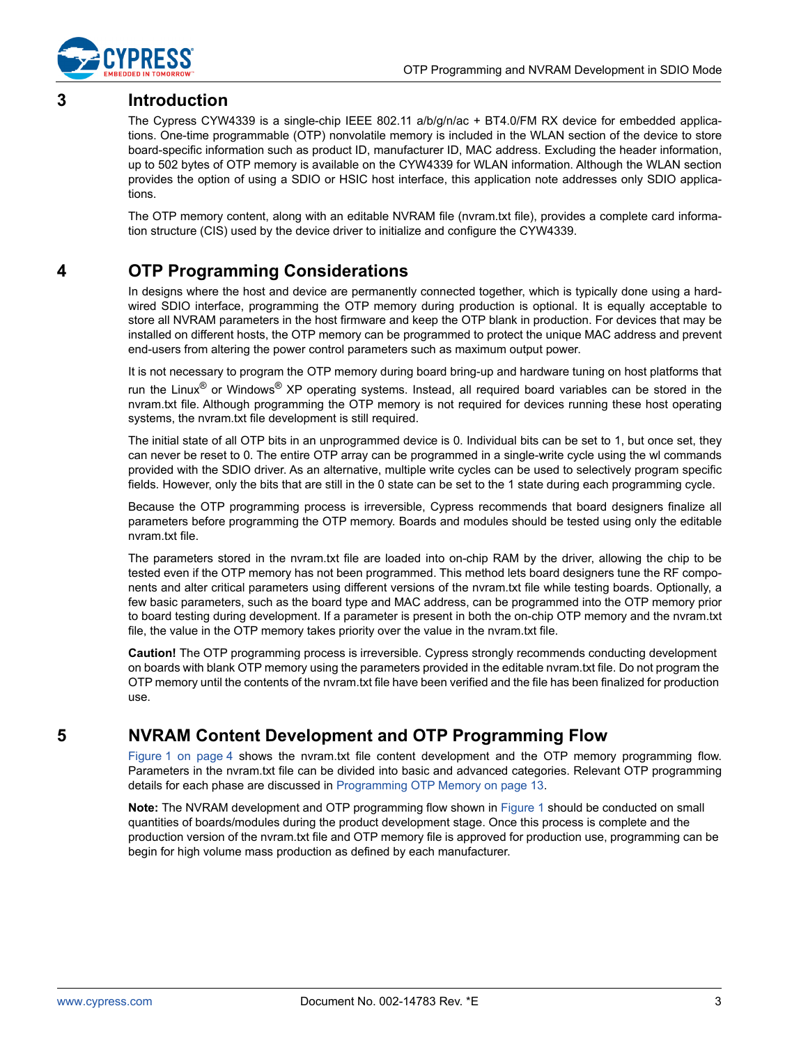

# <span id="page-2-0"></span>**3 Introduction**

The Cypress CYW4339 is a single-chip IEEE 802.11 a/b/g/n/ac + BT4.0/FM RX device for embedded applications. One-time programmable (OTP) nonvolatile memory is included in the WLAN section of the device to store board-specific information such as product ID, manufacturer ID, MAC address. Excluding the header information, up to 502 bytes of OTP memory is available on the CYW4339 for WLAN information. Although the WLAN section provides the option of using a SDIO or HSIC host interface, this application note addresses only SDIO applications.

The OTP memory content, along with an editable NVRAM file (nvram.txt file), provides a complete card information structure (CIS) used by the device driver to initialize and configure the CYW4339.

# <span id="page-2-1"></span>**4 OTP Programming Considerations**

In designs where the host and device are permanently connected together, which is typically done using a hardwired SDIO interface, programming the OTP memory during production is optional. It is equally acceptable to store all NVRAM parameters in the host firmware and keep the OTP blank in production. For devices that may be installed on different hosts, the OTP memory can be programmed to protect the unique MAC address and prevent end-users from altering the power control parameters such as maximum output power.

It is not necessary to program the OTP memory during board bring-up and hardware tuning on host platforms that run the Linux<sup>®</sup> or Windows<sup>®</sup> XP operating systems. Instead, all required board variables can be stored in the nvram.txt file. Although programming the OTP memory is not required for devices running these host operating systems, the nvram.txt file development is still required.

The initial state of all OTP bits in an unprogrammed device is 0. Individual bits can be set to 1, but once set, they can never be reset to 0. The entire OTP array can be programmed in a single-write cycle using the wl commands provided with the SDIO driver. As an alternative, multiple write cycles can be used to selectively program specific fields. However, only the bits that are still in the 0 state can be set to the 1 state during each programming cycle.

Because the OTP programming process is irreversible, Cypress recommends that board designers finalize all parameters before programming the OTP memory. Boards and modules should be tested using only the editable nvram.txt file.

The parameters stored in the nvram.txt file are loaded into on-chip RAM by the driver, allowing the chip to be tested even if the OTP memory has not been programmed. This method lets board designers tune the RF components and alter critical parameters using different versions of the nvram.txt file while testing boards. Optionally, a few basic parameters, such as the board type and MAC address, can be programmed into the OTP memory prior to board testing during development. If a parameter is present in both the on-chip OTP memory and the nvram.txt file, the value in the OTP memory takes priority over the value in the nvram.txt file.

**Caution!** The OTP programming process is irreversible. Cypress strongly recommends conducting development on boards with blank OTP memory using the parameters provided in the editable nvram.txt file. Do not program the OTP memory until the contents of the nvram.txt file have been verified and the file has been finalized for production use.

# <span id="page-2-2"></span>**5 NVRAM Content Development and OTP Programming Flow**

[Figure 1 on page 4](#page-3-0) shows the nvram.txt file content development and the OTP memory programming flow. Parameters in the nvram.txt file can be divided into basic and advanced categories. Relevant OTP programming details for each phase are discussed in [Programming OTP Memory on page 13](#page-12-0).

**Note:** The NVRAM development and OTP programming flow shown in [Figure 1](#page-3-0) should be conducted on small quantities of boards/modules during the product development stage. Once this process is complete and the production version of the nvram.txt file and OTP memory file is approved for production use, programming can be begin for high volume mass production as defined by each manufacturer.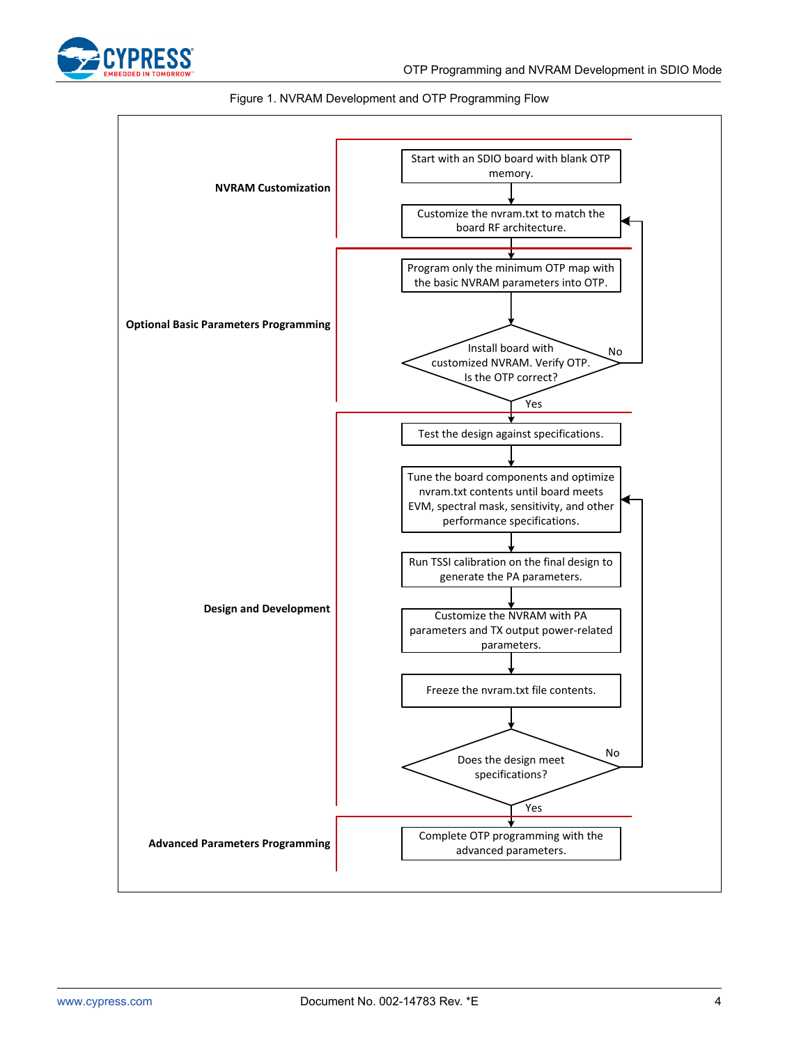<span id="page-3-0"></span>



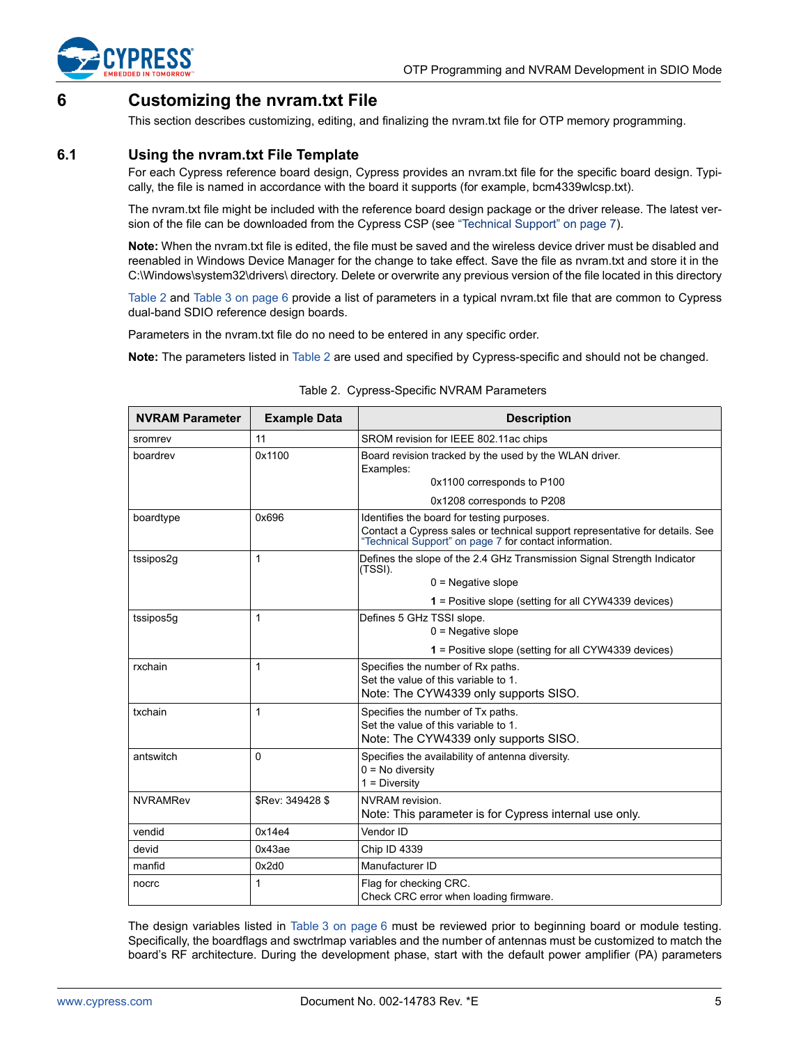

# <span id="page-4-0"></span>**6 Customizing the nvram.txt File**

This section describes customizing, editing, and finalizing the nvram.txt file for OTP memory programming.

### <span id="page-4-1"></span>**6.1 Using the nvram.txt File Template**

For each Cypress reference board design, Cypress provides an nvram.txt file for the specific board design. Typically, the file is named in accordance with the board it supports (for example, bcm4339wlcsp.txt).

The nvram.txt file might be included with the reference board design package or the driver release. The latest version of the file can be downloaded from the Cypress CSP (see "Technical Support" on page 7).

**Note:** When the nvram.txt file is edited, the file must be saved and the wireless device driver must be disabled and reenabled in Windows Device Manager for the change to take effect. Save the file as nvram.txt and store it in the C:\Windows\system32\drivers\ directory. Delete or overwrite any previous version of the file located in this directory

[Table 2](#page-4-2) and [Table 3 on page 6](#page-5-0) provide a list of parameters in a typical nvram.txt file that are common to Cypress dual-band SDIO reference design boards.

Parameters in the nvram.txt file do no need to be entered in any specific order.

**Note:** The parameters listed in [Table 2](#page-4-2) are used and specified by Cypress-specific and should not be changed.

<span id="page-4-2"></span>

| <b>NVRAM Parameter</b> | <b>Example Data</b> | <b>Description</b>                                                                                                                                                                   |
|------------------------|---------------------|--------------------------------------------------------------------------------------------------------------------------------------------------------------------------------------|
| sromrev                | 11                  | SROM revision for IEEE 802.11ac chips                                                                                                                                                |
| boardrev               | 0x1100              | Board revision tracked by the used by the WLAN driver.<br>Examples:                                                                                                                  |
|                        |                     | 0x1100 corresponds to P100                                                                                                                                                           |
|                        |                     | 0x1208 corresponds to P208                                                                                                                                                           |
| boardtype              | 0x696               | Identifies the board for testing purposes.<br>Contact a Cypress sales or technical support representative for details. See<br>"Technical Support" on page 7 for contact information. |
| tssipos2g              | 1                   | Defines the slope of the 2.4 GHz Transmission Signal Strength Indicator<br>(TSSI).                                                                                                   |
|                        |                     | $0 =$ Negative slope                                                                                                                                                                 |
|                        |                     | <b>1</b> = Positive slope (setting for all CYW4339 devices)                                                                                                                          |
| tssipos5g              | 1                   | Defines 5 GHz TSSI slope.<br>$0 =$ Negative slope                                                                                                                                    |
|                        |                     | <b>1</b> = Positive slope (setting for all CYW4339 devices)                                                                                                                          |
| rxchain                | 1                   | Specifies the number of Rx paths.<br>Set the value of this variable to 1.<br>Note: The CYW4339 only supports SISO.                                                                   |
| txchain                | 1                   | Specifies the number of Tx paths.<br>Set the value of this variable to 1.<br>Note: The CYW4339 only supports SISO.                                                                   |
| antswitch              | $\Omega$            | Specifies the availability of antenna diversity.<br>$0 = No$ diversity<br>$1 = Diversity$                                                                                            |
| <b>NVRAMRev</b>        | \$Rev: 349428 \$    | NVRAM revision.<br>Note: This parameter is for Cypress internal use only.                                                                                                            |
| vendid                 | 0x14e4              | Vendor ID                                                                                                                                                                            |
| devid                  | 0x43ae              | Chip ID 4339                                                                                                                                                                         |
| manfid                 | 0x2d0               | Manufacturer ID                                                                                                                                                                      |
| nocrc                  | 1                   | Flag for checking CRC.<br>Check CRC error when loading firmware.                                                                                                                     |

Table 2. Cypress-Specific NVRAM Parameters

The design variables listed in [Table 3 on page 6](#page-5-0) must be reviewed prior to beginning board or module testing. Specifically, the boardflags and swctrlmap variables and the number of antennas must be customized to match the board's RF architecture. During the development phase, start with the default power amplifier (PA) parameters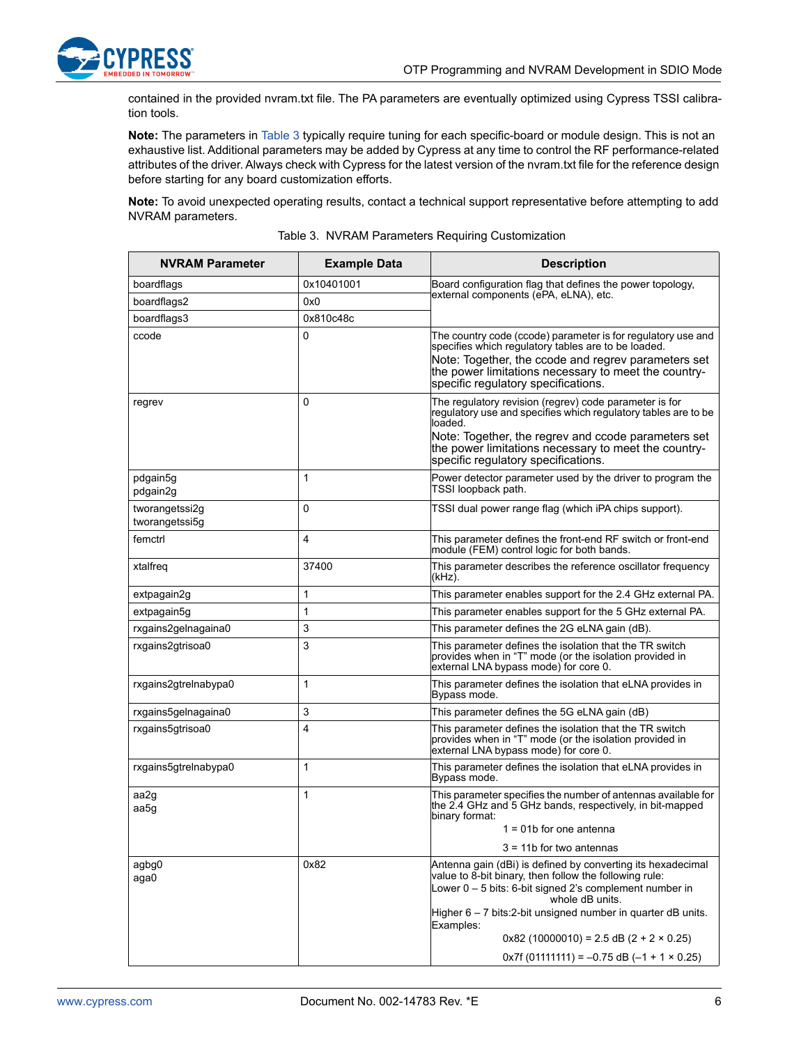

contained in the provided nvram.txt file. The PA parameters are eventually optimized using Cypress TSSI calibration tools.

**Note:** The parameters in [Table 3](#page-5-0) typically require tuning for each specific-board or module design. This is not an exhaustive list. Additional parameters may be added by Cypress at any time to control the RF performance-related attributes of the driver. Always check with Cypress for the latest version of the nvram.txt file for the reference design before starting for any board customization efforts.

**Note:** To avoid unexpected operating results, contact a technical support representative before attempting to add NVRAM parameters.

<span id="page-5-0"></span>

| <b>NVRAM Parameter</b>           | <b>Example Data</b> | <b>Description</b>                                                                                                                                                                                                                                                        |
|----------------------------------|---------------------|---------------------------------------------------------------------------------------------------------------------------------------------------------------------------------------------------------------------------------------------------------------------------|
| boardflags                       | 0x10401001          | Board configuration flag that defines the power topology,                                                                                                                                                                                                                 |
| boardflags2                      | 0x0                 | external components (ePA, eLNA), etc.                                                                                                                                                                                                                                     |
| boardflags3                      | 0x810c48c           |                                                                                                                                                                                                                                                                           |
| ccode                            | 0                   | The country code (ccode) parameter is for regulatory use and<br>specifies which regulatory tables are to be loaded.<br>Note: Together, the ccode and regrev parameters set<br>the power limitations necessary to meet the country-<br>specific regulatory specifications. |
| regrev                           | 0                   | The regulatory revision (regrev) code parameter is for<br>requiatory use and specifies which requiatory tables are to be<br>loaded.                                                                                                                                       |
|                                  |                     | Note: Together, the regrev and ccode parameters set<br>the power limitations necessary to meet the country-<br>specific regulatory specifications.                                                                                                                        |
| pdgain5g<br>pdgain2g             | 1                   | Power detector parameter used by the driver to program the<br>TSSI loopback path.                                                                                                                                                                                         |
| tworangetssi2g<br>tworangetssi5g | 0                   | TSSI dual power range flag (which iPA chips support).                                                                                                                                                                                                                     |
| femctrl                          | 4                   | This parameter defines the front-end RF switch or front-end<br>module (FEM) control logic for both bands.                                                                                                                                                                 |
| xtalfreq                         | 37400               | This parameter describes the reference oscillator frequency<br>(kHz).                                                                                                                                                                                                     |
| extpagain2g                      | 1                   | This parameter enables support for the 2.4 GHz external PA.                                                                                                                                                                                                               |
| extpagain5g                      | 1                   | This parameter enables support for the 5 GHz external PA.                                                                                                                                                                                                                 |
| rxgains2gelnagaina0              | 3                   | This parameter defines the 2G eLNA gain (dB).                                                                                                                                                                                                                             |
| rxgains2gtrisoa0                 | 3                   | This parameter defines the isolation that the TR switch<br>provides when in "T" mode (or the isolation provided in<br>external LNA bypass mode) for core 0.                                                                                                               |
| rxgains2gtrelnabypa0             | 1                   | This parameter defines the isolation that eLNA provides in<br>Bypass mode.                                                                                                                                                                                                |
| rxgains5gelnagaina0              | 3                   | This parameter defines the 5G eLNA gain (dB)                                                                                                                                                                                                                              |
| rxgains5gtrisoa0                 | 4                   | This parameter defines the isolation that the TR switch<br>provides when in "T" mode (or the isolation provided in<br>external LNA bypass mode) for core 0.                                                                                                               |
| rxgains5gtrelnabypa0             | 1                   | This parameter defines the isolation that eLNA provides in<br>Bypass mode.                                                                                                                                                                                                |
| aa2g<br>aa5g                     | $\mathbf{1}$        | This parameter specifies the number of antennas available for<br>the 2.4 GHz and 5 GHz bands, respectively, in bit-mapped<br>binary format:                                                                                                                               |
|                                  |                     | $1 = 01b$ for one antenna                                                                                                                                                                                                                                                 |
|                                  |                     | $3 = 11b$ for two antennas                                                                                                                                                                                                                                                |
| agbg0<br>aga0                    | 0x82                | Antenna gain (dBi) is defined by converting its hexadecimal<br>value to 8-bit binary, then follow the following rule:                                                                                                                                                     |
|                                  |                     | Lower $0 - 5$ bits: 6-bit signed 2's complement number in<br>whole dB units.                                                                                                                                                                                              |
|                                  |                     | Higher $6 - 7$ bits: 2-bit unsigned number in quarter dB units.<br>Examples:                                                                                                                                                                                              |
|                                  |                     | $0x82$ (10000010) = 2.5 dB (2 + 2 × 0.25)                                                                                                                                                                                                                                 |
|                                  |                     | $0x7f(01111111) = -0.75 dB(-1 + 1 \times 0.25)$                                                                                                                                                                                                                           |

<span id="page-5-1"></span>Table 3. NVRAM Parameters Requiring Customization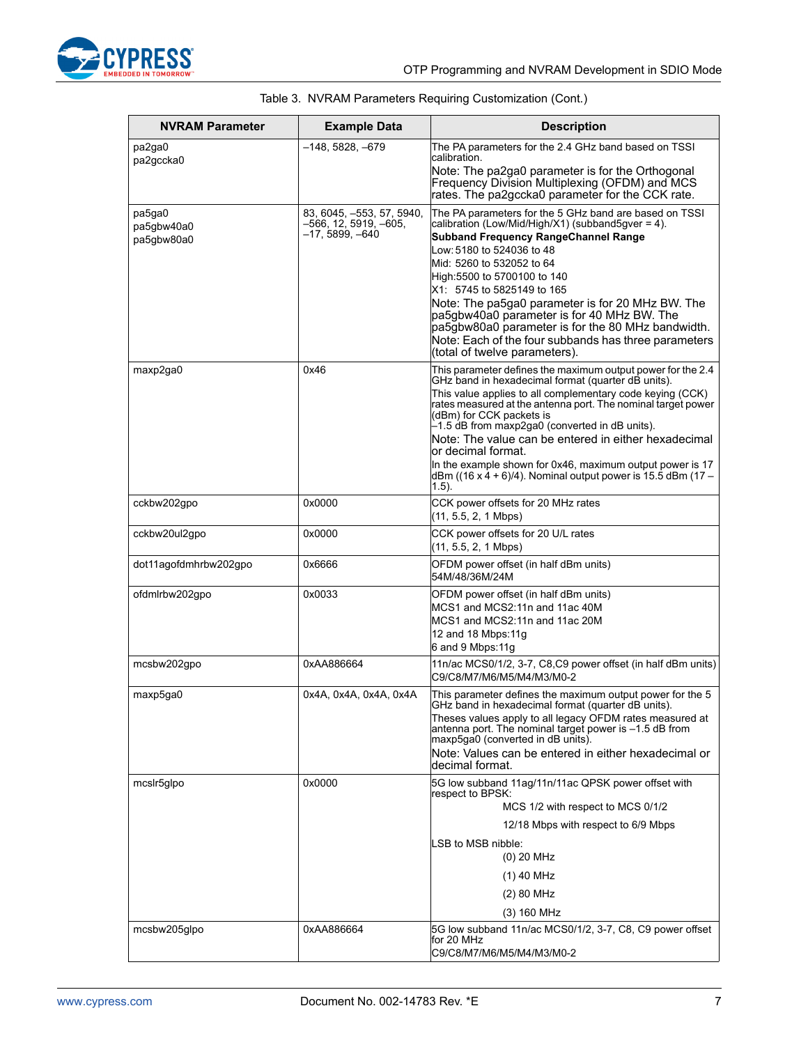

| <b>NVRAM Parameter</b>             | <b>Example Data</b>                                                   | <b>Description</b>                                                                                                                                                                                                                                                                                                                                                                                                                                                                                                                                            |
|------------------------------------|-----------------------------------------------------------------------|---------------------------------------------------------------------------------------------------------------------------------------------------------------------------------------------------------------------------------------------------------------------------------------------------------------------------------------------------------------------------------------------------------------------------------------------------------------------------------------------------------------------------------------------------------------|
| pa2ga0<br>pa2gccka0                | $-148, 5828, -679$                                                    | The PA parameters for the 2.4 GHz band based on TSSI<br>calibration.<br>Note: The pa2ga0 parameter is for the Orthogonal<br>Frequency Division Multiplexing (OFDM) and MCS<br>rates. The pa2gccka0 parameter for the CCK rate.                                                                                                                                                                                                                                                                                                                                |
| pa5ga0<br>pa5gbw40a0<br>pa5gbw80a0 | 83, 6045, -553, 57, 5940,<br>–566, 12, 5919, –605,<br>–17, 5899, –640 | The PA parameters for the 5 GHz band are based on TSSI<br>calibration (Low/Mid/High/X1) (subband5gver = 4).<br><b>Subband Frequency RangeChannel Range</b><br>Low: 5180 to 524036 to 48<br>Mid: 5260 to 532052 to 64<br>High: 5500 to 5700100 to 140<br>X1: 5745 to 5825149 to 165<br>Note: The pa5ga0 parameter is for 20 MHz BW. The<br>pa5gbw40a0 parameter is for 40 MHz BW. The<br>pa5gbw80a0 parameter is for the 80 MHz bandwidth.<br>Note: Each of the four subbands has three parameters<br>(total of twelve parameters).                            |
| maxp2ga0                           | 0x46                                                                  | This parameter defines the maximum output power for the 2.4<br>GHz band in hexadecimal format (quarter dB units).<br>This value applies to all complementary code keying (CCK)<br>rates measured at the antenna port. The nominal target power<br>(dBm) for CCK packets is<br>-1.5 dB from maxp2ga0 (converted in dB units).<br>Note: The value can be entered in either hexadecimal<br>or decimal format.<br>In the example shown for 0x46, maximum output power is 17<br>dBm ( $(16 \times 4 + 6)/4$ ). Nominal output power is 15.5 dBm (17 –<br>$(1.5)$ . |
| cckbw202gpo                        | 0x0000                                                                | CCK power offsets for 20 MHz rates<br>$(11, 5.5, 2, 1 \text{ Mbps})$                                                                                                                                                                                                                                                                                                                                                                                                                                                                                          |
| cckbw20ul2gpo                      | 0x0000                                                                | CCK power offsets for 20 U/L rates<br>$(11, 5.5, 2, 1 \text{ Mbps})$                                                                                                                                                                                                                                                                                                                                                                                                                                                                                          |
| dot11agofdmhrbw202gpo              | 0x6666                                                                | OFDM power offset (in half dBm units)<br>54M/48/36M/24M                                                                                                                                                                                                                                                                                                                                                                                                                                                                                                       |
| ofdmlrbw202gpo                     | 0x0033                                                                | OFDM power offset (in half dBm units)<br>MCS1 and MCS2:11n and 11ac 40M<br>MCS1 and MCS2:11n and 11ac 20M<br>12 and 18 Mbps: 11g<br>6 and 9 Mbps:11g                                                                                                                                                                                                                                                                                                                                                                                                          |
| mcsbw202gpo                        | 0xAA886664                                                            | 11n/ac MCS0/1/2, 3-7, C8,C9 power offset (in half dBm units)<br>C9/C8/M7/M6/M5/M4/M3/M0-2                                                                                                                                                                                                                                                                                                                                                                                                                                                                     |
| maxp5ga0                           | 0x4A, 0x4A, 0x4A, 0x4A                                                | This parameter defines the maximum output power for the 5<br>GHz band in hexadecimal format (quarter dB units).<br>Theses values apply to all legacy OFDM rates measured at<br>antenna port. The nominal target power is -1.5 dB from<br>maxp5ga0 (converted in dB units).<br>Note: Values can be entered in either hexadecimal or<br>decimal format.                                                                                                                                                                                                         |
| mcslr5glpo                         | 0x0000                                                                | 5G low subband 11ag/11n/11ac QPSK power offset with<br>respect to BPSK:<br>MCS 1/2 with respect to MCS 0/1/2<br>12/18 Mbps with respect to 6/9 Mbps<br>LSB to MSB nibble:<br>(0) 20 MHz<br>(1) 40 MHz<br>(2) 80 MHz<br>(3) 160 MHz                                                                                                                                                                                                                                                                                                                            |
| mcsbw205glpo                       | 0xAA886664                                                            | 5G low subband 11n/ac MCS0/1/2, 3-7, C8, C9 power offset<br>for 20 MHz<br>C9/C8/M7/M6/M5/M4/M3/M0-2                                                                                                                                                                                                                                                                                                                                                                                                                                                           |

|  |  | Table 3. NVRAM Parameters Requiring Customization (Cont.) |  |
|--|--|-----------------------------------------------------------|--|
|  |  |                                                           |  |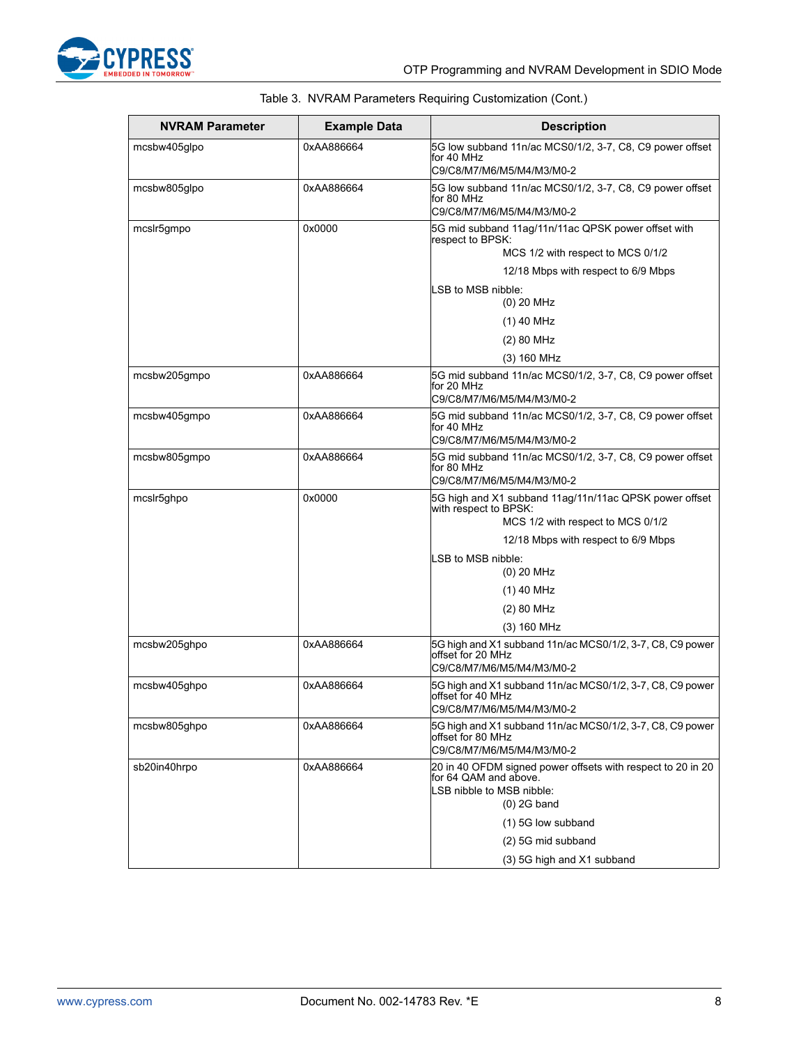

| <b>NVRAM Parameter</b> | <b>Example Data</b> | <b>Description</b>                                                             |
|------------------------|---------------------|--------------------------------------------------------------------------------|
| mcsbw405glpo           | 0xAA886664          | 5G low subband 11n/ac MCS0/1/2, 3-7, C8, C9 power offset<br>for 40 MHz         |
|                        |                     | C9/C8/M7/M6/M5/M4/M3/M0-2                                                      |
| mcsbw805glpo           | 0xAA886664          | 5G low subband 11n/ac MCS0/1/2, 3-7, C8, C9 power offset                       |
|                        |                     | for 80 MHz<br>C9/C8/M7/M6/M5/M4/M3/M0-2                                        |
| mcslr5gmpo             | 0x0000              | 5G mid subband 11ag/11n/11ac QPSK power offset with                            |
|                        |                     | respect to BPSK:<br>MCS 1/2 with respect to MCS 0/1/2                          |
|                        |                     | 12/18 Mbps with respect to 6/9 Mbps                                            |
|                        |                     | LSB to MSB nibble:                                                             |
|                        |                     | $(0)$ 20 MHz                                                                   |
|                        |                     | $(1)$ 40 MHz                                                                   |
|                        |                     | (2) 80 MHz                                                                     |
|                        |                     | (3) 160 MHz                                                                    |
| mcsbw205gmpo           | 0xAA886664          | 5G mid subband 11n/ac MCS0/1/2, 3-7, C8, C9 power offset<br>for 20 MHz         |
|                        |                     | C9/C8/M7/M6/M5/M4/M3/M0-2                                                      |
| mcsbw405gmpo           | 0xAA886664          | 5G mid subband 11n/ac MCS0/1/2, 3-7, C8, C9 power offset<br>for 40 MHz         |
|                        |                     | C9/C8/M7/M6/M5/M4/M3/M0-2                                                      |
| mcsbw805gmpo           | 0xAA886664          | 5G mid subband 11n/ac MCS0/1/2, 3-7, C8, C9 power offset                       |
|                        |                     | for 80 MHz<br>C9/C8/M7/M6/M5/M4/M3/M0-2                                        |
| mcslr5ghpo             | 0x0000              | 5G high and X1 subband 11ag/11n/11ac QPSK power offset                         |
|                        |                     | with respect to BPSK:<br>MCS 1/2 with respect to MCS 0/1/2                     |
|                        |                     | 12/18 Mbps with respect to 6/9 Mbps                                            |
|                        |                     | LSB to MSB nibble:                                                             |
|                        |                     | $(0)$ 20 MHz                                                                   |
|                        |                     | $(1)$ 40 MHz                                                                   |
|                        |                     | (2) 80 MHz                                                                     |
|                        |                     | $(3)$ 160 MHz                                                                  |
| mcsbw205ghpo           | 0xAA886664          | 5G high and X1 subband 11n/ac MCS0/1/2, 3-7, C8, C9 power<br>offset for 20 MHz |
|                        |                     | C9/C8/M7/M6/M5/M4/M3/M0-2                                                      |
| mcsbw405ghpo           | 0xAA886664          | 5G high and X1 subband 11n/ac MCS0/1/2, 3-7, C8, C9 power                      |
|                        |                     | offset for 40 MHz<br>C9/C8/M7/M6/M5/M4/M3/M0-2                                 |
| mcsbw805ghpo           | 0xAA886664          | 5G high and X1 subband 11n/ac MCS0/1/2, 3-7, C8, C9 power                      |
|                        |                     | offset for 80 MHz<br>C9/C8/M7/M6/M5/M4/M3/M0-2                                 |
| sb20in40hrpo           | 0xAA886664          | 20 in 40 OFDM signed power offsets with respect to 20 in 20                    |
|                        |                     | for 64 QAM and above.<br>LSB nibble to MSB nibble:                             |
|                        |                     | $(0)$ 2G band                                                                  |
|                        |                     | (1) 5G low subband                                                             |
|                        |                     | (2) 5G mid subband                                                             |
|                        |                     | (3) 5G high and X1 subband                                                     |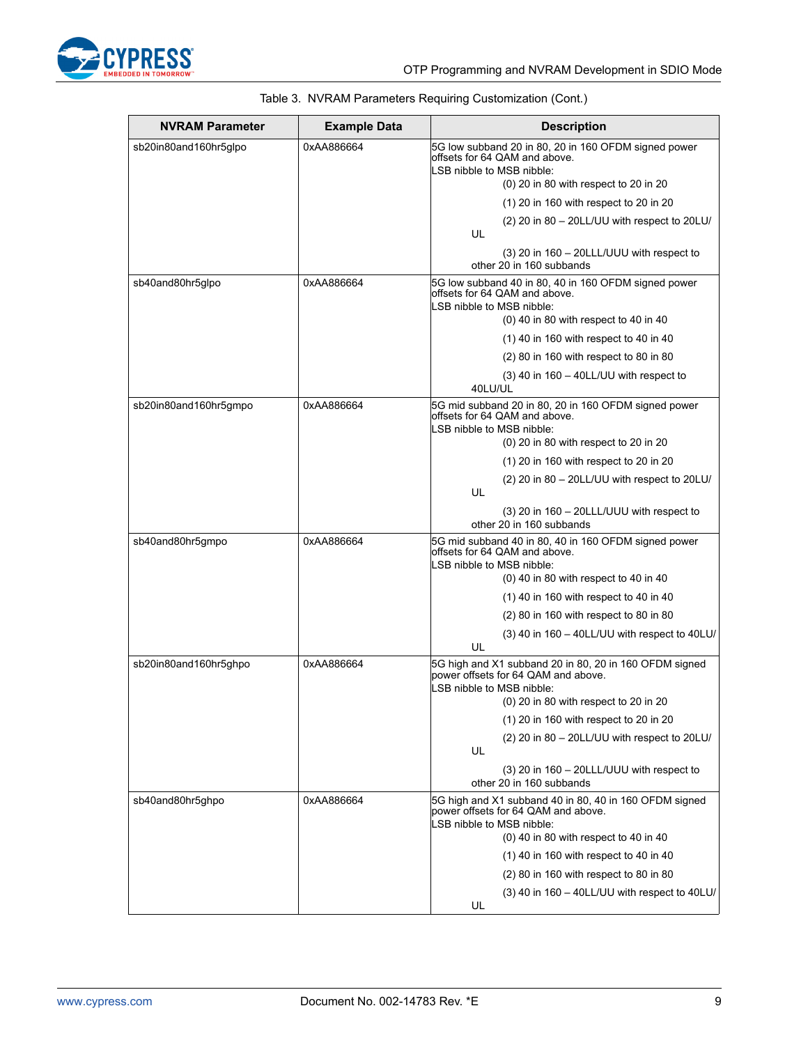

| <b>NVRAM Parameter</b> | <b>Example Data</b> | <b>Description</b>                                                                                                                                            |
|------------------------|---------------------|---------------------------------------------------------------------------------------------------------------------------------------------------------------|
| sb20in80and160hr5glpo  | 0xAA886664          | 5G low subband 20 in 80, 20 in 160 OFDM signed power<br>offsets for 64 QAM and above.<br>LSB nibble to MSB nibble:<br>(0) 20 in 80 with respect to 20 in 20   |
|                        |                     | (1) 20 in 160 with respect to 20 in 20                                                                                                                        |
|                        |                     | (2) 20 in 80 - 20LL/UU with respect to 20LU/                                                                                                                  |
|                        |                     | UL                                                                                                                                                            |
|                        |                     | $(3)$ 20 in 160 - 20LLL/UUU with respect to<br>other 20 in 160 subbands                                                                                       |
| sb40and80hr5glpo       | 0xAA886664          | 5G low subband 40 in 80, 40 in 160 OFDM signed power<br>offsets for 64 QAM and above.<br>LSB nibble to MSB nibble:                                            |
|                        |                     | $(0)$ 40 in 80 with respect to 40 in 40                                                                                                                       |
|                        |                     | $(1)$ 40 in 160 with respect to 40 in 40                                                                                                                      |
|                        |                     | (2) 80 in 160 with respect to 80 in 80                                                                                                                        |
|                        |                     | $(3)$ 40 in 160 - 40LL/UU with respect to<br>40LU/UL                                                                                                          |
| sb20in80and160hr5gmpo  | 0xAA886664          | 5G mid subband 20 in 80, 20 in 160 OFDM signed power<br>offsets for 64 QAM and above.<br>LSB nibble to MSB nibble:<br>(0) 20 in 80 with respect to 20 in 20   |
|                        |                     | (1) 20 in 160 with respect to 20 in 20                                                                                                                        |
|                        |                     | (2) 20 in 80 - 20LL/UU with respect to 20LU/<br>UL                                                                                                            |
|                        |                     | $(3)$ 20 in 160 – 20LLL/UUU with respect to<br>other 20 in 160 subbands                                                                                       |
| sb40and80hr5gmpo       | 0xAA886664          | 5G mid subband 40 in 80, 40 in 160 OFDM signed power<br>offsets for 64 QAM and above.<br>LSB nibble to MSB nibble:<br>$(0)$ 40 in 80 with respect to 40 in 40 |
|                        |                     | $(1)$ 40 in 160 with respect to 40 in 40                                                                                                                      |
|                        |                     | (2) 80 in 160 with respect to 80 in 80                                                                                                                        |
|                        |                     | (3) 40 in 160 - 40LL/UU with respect to 40LU/                                                                                                                 |
|                        |                     | UL                                                                                                                                                            |
| sb20in80and160hr5qhpo  | 0xAA886664          | 5G high and X1 subband 20 in 80, 20 in 160 OFDM signed<br>power offsets for 64 QAM and above.<br>LSB nibble to MSB nibble:                                    |
|                        |                     | (0) 20 in 80 with respect to 20 in 20                                                                                                                         |
|                        |                     | (1) 20 in 160 with respect to 20 in 20                                                                                                                        |
|                        |                     | (2) 20 in 80 - 20LL/UU with respect to 20LU/<br>UL                                                                                                            |
|                        |                     | $(3)$ 20 in 160 - 20LLL/UUU with respect to<br>other 20 in 160 subbands                                                                                       |
| sb40and80hr5ghpo       | 0xAA886664          | 5G high and X1 subband 40 in 80, 40 in 160 OFDM signed<br>power offsets for 64 QAM and above.<br>LSB nibble to MSB nibble:                                    |
|                        |                     | $(0)$ 40 in 80 with respect to 40 in 40                                                                                                                       |
|                        |                     | $(1)$ 40 in 160 with respect to 40 in 40                                                                                                                      |
|                        |                     | (2) 80 in 160 with respect to 80 in 80                                                                                                                        |
|                        |                     | $(3)$ 40 in 160 – 40LL/UU with respect to 40LU/<br>UL                                                                                                         |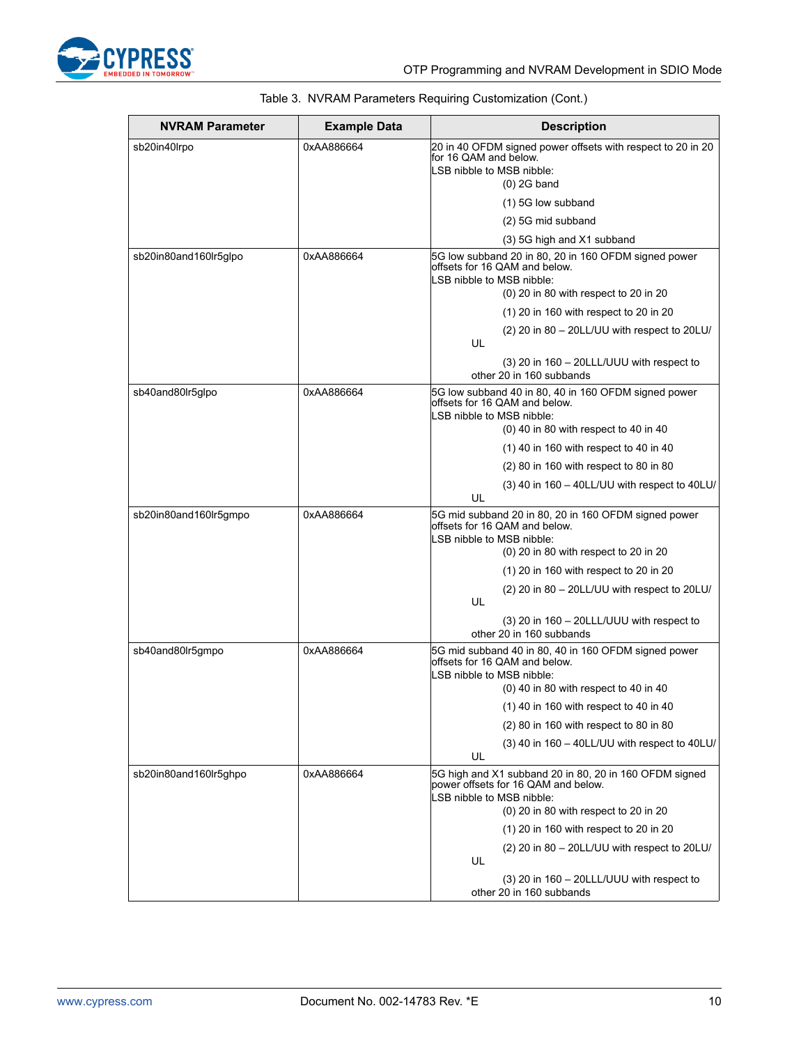

| <b>NVRAM Parameter</b> | <b>Example Data</b> | <b>Description</b>                                                                                                                                                  |
|------------------------|---------------------|---------------------------------------------------------------------------------------------------------------------------------------------------------------------|
| sb20in40lrpo           | 0xAA886664          | 20 in 40 OFDM signed power offsets with respect to 20 in 20<br>for 16 QAM and below.<br>LSB nibble to MSB nibble:<br>$(0)$ 2G band                                  |
|                        |                     | (1) 5G low subband                                                                                                                                                  |
|                        |                     | (2) 5G mid subband                                                                                                                                                  |
|                        |                     | (3) 5G high and X1 subband                                                                                                                                          |
| sb20in80and160lr5qlpo  | 0xAA886664          | 5G low subband 20 in 80, 20 in 160 OFDM signed power<br>offsets for 16 QAM and below.<br>LSB nibble to MSB nibble:<br>(0) 20 in 80 with respect to 20 in 20         |
|                        |                     | (1) 20 in 160 with respect to 20 in 20                                                                                                                              |
|                        |                     | (2) 20 in 80 - 20LL/UU with respect to 20LU/<br>UL                                                                                                                  |
|                        |                     | $(3)$ 20 in 160 - 20LLL/UUU with respect to<br>other 20 in 160 subbands                                                                                             |
| sb40and80lr5glpo       | 0xAA886664          | 5G low subband 40 in 80, 40 in 160 OFDM signed power<br>offsets for 16 QAM and below.<br>LSB nibble to MSB nibble:                                                  |
|                        |                     | $(0)$ 40 in 80 with respect to 40 in 40                                                                                                                             |
|                        |                     | $(1)$ 40 in 160 with respect to 40 in 40                                                                                                                            |
|                        |                     | (2) 80 in 160 with respect to 80 in 80                                                                                                                              |
|                        |                     | (3) 40 in 160 - 40LL/UU with respect to 40LU/<br>UL                                                                                                                 |
| sb20in80and160lr5gmpo  | 0xAA886664          | 5G mid subband 20 in 80, 20 in 160 OFDM signed power<br>offsets for 16 QAM and below.<br>LSB nibble to MSB nibble:<br>(0) 20 in 80 with respect to 20 in 20         |
|                        |                     | $(1)$ 20 in 160 with respect to 20 in 20                                                                                                                            |
|                        |                     | (2) 20 in 80 - 20LL/UU with respect to 20LU/<br>UL                                                                                                                  |
|                        |                     | $(3)$ 20 in 160 - 20LLL/UUU with respect to<br>other 20 in 160 subbands                                                                                             |
| sb40and80lr5gmpo       | 0xAA886664          | 5G mid subband 40 in 80, 40 in 160 OFDM signed power<br>offsets for 16 QAM and below.<br>LSB nibble to MSB nibble:<br>$(0)$ 40 in 80 with respect to 40 in 40       |
|                        |                     | (1) 40 in 160 with respect to 40 in 40                                                                                                                              |
|                        |                     | (2) 80 in 160 with respect to 80 in 80                                                                                                                              |
|                        |                     | $(3)$ 40 in 160 - 40LL/UU with respect to 40LU/<br>UL                                                                                                               |
| sb20in80and160lr5ghpo  | 0xAA886664          | 5G high and X1 subband 20 in 80, 20 in 160 OFDM signed<br>power offsets for 16 QAM and below.<br>LSB nibble to MSB nibble:<br>(0) 20 in 80 with respect to 20 in 20 |
|                        |                     | (1) 20 in 160 with respect to 20 in 20                                                                                                                              |
|                        |                     | (2) 20 in 80 - 20LL/UU with respect to 20LU/<br>UL                                                                                                                  |
|                        |                     | $(3)$ 20 in 160 - 20LLL/UUU with respect to<br>other 20 in 160 subbands                                                                                             |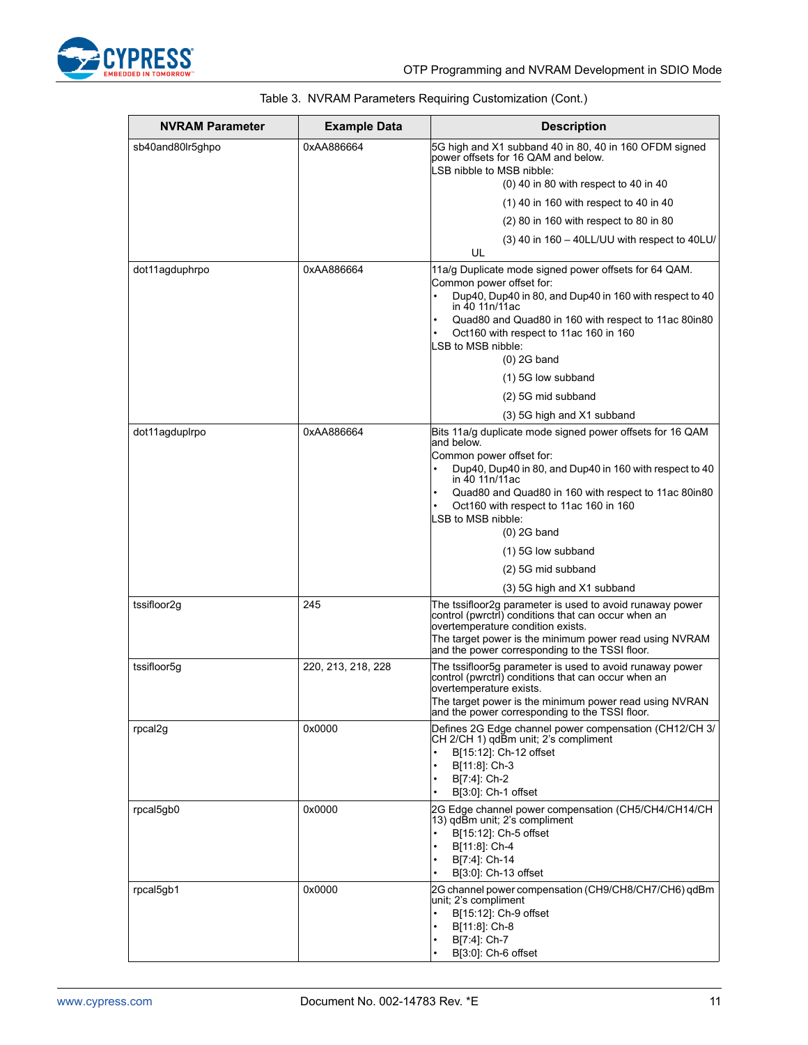

| NVRAM Parameter  | <b>Example Data</b> | <b>Description</b>                                                                                                                                                                                                                                                                                                       |
|------------------|---------------------|--------------------------------------------------------------------------------------------------------------------------------------------------------------------------------------------------------------------------------------------------------------------------------------------------------------------------|
| sb40and80lr5ghpo | 0xAA886664          | 5G high and X1 subband 40 in 80, 40 in 160 OFDM signed<br>power offsets for 16 QAM and below.<br>LSB nibble to MSB nibble:<br>$(0)$ 40 in 80 with respect to 40 in 40                                                                                                                                                    |
|                  |                     | $(1)$ 40 in 160 with respect to 40 in 40                                                                                                                                                                                                                                                                                 |
|                  |                     | (2) 80 in 160 with respect to 80 in 80                                                                                                                                                                                                                                                                                   |
|                  |                     | $(3)$ 40 in 160 - 40LL/UU with respect to 40LU/<br>UL                                                                                                                                                                                                                                                                    |
| dot11agduphrpo   | 0xAA886664          | 11a/g Duplicate mode signed power offsets for 64 QAM.<br>Common power offset for:<br>Dup40, Dup40 in 80, and Dup40 in 160 with respect to 40<br>in 40 11n/11ac<br>Quad80 and Quad80 in 160 with respect to 11ac 80in80<br>Oct160 with respect to 11ac 160 in 160<br>LSB to MSB nibble:<br>$(0)$ 2G band                  |
|                  |                     | (1) 5G low subband                                                                                                                                                                                                                                                                                                       |
|                  |                     | (2) 5G mid subband                                                                                                                                                                                                                                                                                                       |
|                  |                     | (3) 5G high and X1 subband                                                                                                                                                                                                                                                                                               |
| dot11agduplrpo   | 0xAA886664          | Bits 11a/g duplicate mode signed power offsets for 16 QAM<br>and below<br>Common power offset for:<br>Dup40, Dup40 in 80, and Dup40 in 160 with respect to 40<br>in 40 11n/11ac<br>Quad80 and Quad80 in 160 with respect to 11ac 80in80<br>Oct160 with respect to 11ac 160 in 160<br>LSB to MSB nibble:<br>$(0)$ 2G band |
|                  |                     | (1) 5G low subband                                                                                                                                                                                                                                                                                                       |
|                  |                     | (2) 5G mid subband                                                                                                                                                                                                                                                                                                       |
|                  |                     | (3) 5G high and X1 subband                                                                                                                                                                                                                                                                                               |
| tssifloor2g      | 245                 | The tssifloor2g parameter is used to avoid runaway power<br>control (pwrctrl) conditions that can occur when an<br>overtemperature condition exists.<br>The target power is the minimum power read using NVRAM<br>and the power corresponding to the TSSI floor.                                                         |
| tssifloor5g      | 220, 213, 218, 228  | The tssifloor5g parameter is used to avoid runaway power<br>control (pwrctri) conditions that can occur when an<br>overtemperature exists.<br>The target power is the minimum power read using NVRAN<br>and the power corresponding to the TSSI floor.                                                                   |
| rpcal2g          | 0x0000              | Defines 2G Edge channel power compensation (CH12/CH 3/<br>CH 2/CH 1) qdBm unit; 2's compliment<br>B[15:12]: Ch-12 offset<br>B[11:8]: Ch-3<br>B[7:4]: Ch-2<br>B[3:0]: Ch-1 offset                                                                                                                                         |
| rpcal5gb0        | 0x0000              | 2G Edge channel power compensation (CH5/CH4/CH14/CH<br>13) gdBm unit; 2's compliment<br>B[15:12]: Ch-5 offset<br>B[11:8]: Ch-4<br>B[7:4]: Ch-14<br>B[3:0]: Ch-13 offset                                                                                                                                                  |
| rpcal5gb1        | 0x0000              | 2G channel power compensation (CH9/CH8/CH7/CH6) qdBm<br>unit; 2's compliment<br>B[15:12]: Ch-9 offset<br>B[11:8]: Ch-8<br>B[7:4]: Ch-7<br>B[3:0]: Ch-6 offset                                                                                                                                                            |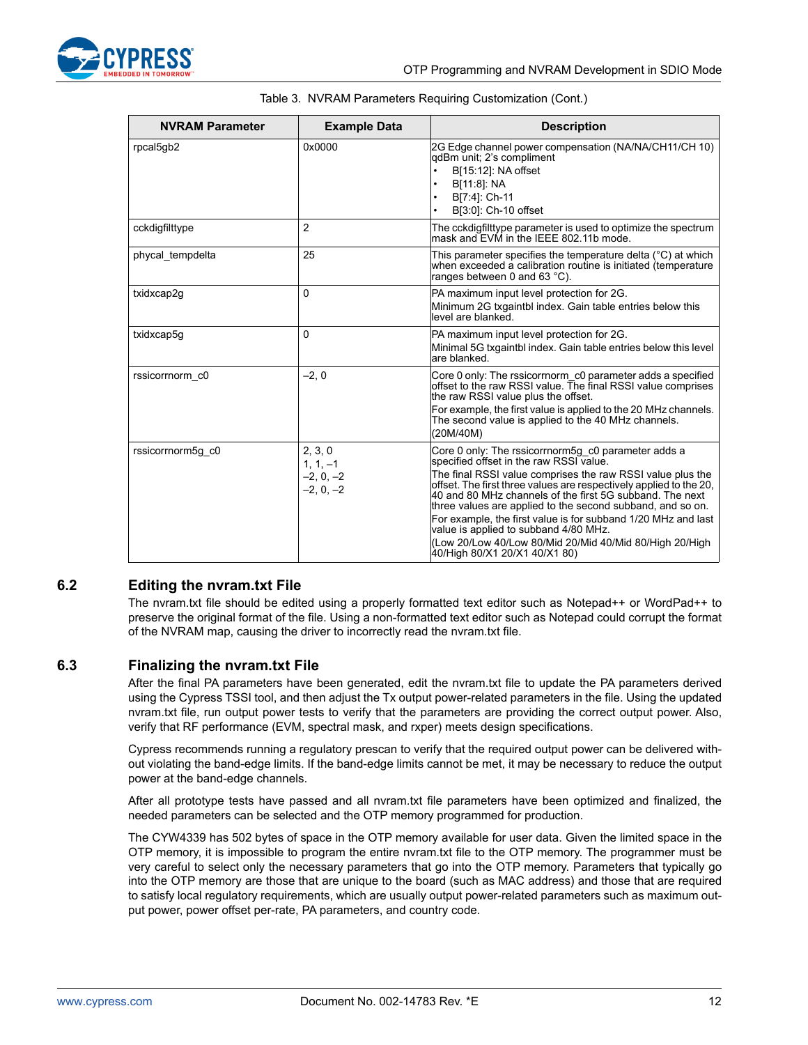

| <b>NVRAM Parameter</b> | <b>Example Data</b>                                 | <b>Description</b>                                                                                                                                                                                                                                                                                                                                                                                                                                                                                                                                                 |
|------------------------|-----------------------------------------------------|--------------------------------------------------------------------------------------------------------------------------------------------------------------------------------------------------------------------------------------------------------------------------------------------------------------------------------------------------------------------------------------------------------------------------------------------------------------------------------------------------------------------------------------------------------------------|
| rpcal5gb2              | 0x0000                                              | 2G Edge channel power compensation (NA/NA/CH11/CH 10)<br>qdBm unit; 2's compliment<br>B[15:12]: NA offset<br>B[11:8]: NA<br>$\bullet$<br>B[7:4]: Ch-11<br>B[3:0]: Ch-10 offset                                                                                                                                                                                                                                                                                                                                                                                     |
| cckdigfilttype         | 2                                                   | The cckdigfilttype parameter is used to optimize the spectrum<br>mask and EVM in the IEEE 802.11b mode.                                                                                                                                                                                                                                                                                                                                                                                                                                                            |
| phycal tempdelta       | 25                                                  | This parameter specifies the temperature delta $(^{\circ}C)$ at which<br>when exceeded a calibration routine is initiated (temperature<br>ranges between 0 and 63 °C).                                                                                                                                                                                                                                                                                                                                                                                             |
| txidxcap2g             | 0                                                   | PA maximum input level protection for 2G.<br>Minimum 2G txgaintbl index. Gain table entries below this<br>level are blanked.                                                                                                                                                                                                                                                                                                                                                                                                                                       |
| txidxcap5g             | 0                                                   | PA maximum input level protection for 2G.<br>Minimal 5G txgaintbl index. Gain table entries below this level<br>are blanked.                                                                                                                                                                                                                                                                                                                                                                                                                                       |
| rssicorrnorm c0        | $-2.0$                                              | Core 0 only: The rssicorrnorm c0 parameter adds a specified<br>offset to the raw RSSI value. The final RSSI value comprises<br>the raw RSSI value plus the offset.<br>For example, the first value is applied to the 20 MHz channels.<br>The second value is applied to the 40 MHz channels.<br>(20M/40M)                                                                                                                                                                                                                                                          |
| rssicorrnorm5g c0      | 2, 3, 0<br>$1, 1, -1$<br>$-2, 0, -2$<br>$-2, 0, -2$ | Core 0 only: The rssicorrnorm5g c0 parameter adds a<br>specified offset in the raw RSSI value.<br>The final RSSI value comprises the raw RSSI value plus the<br>offset. The first three values are respectively applied to the 20,<br>40 and 80 MHz channels of the first 5G subband. The next<br>three values are applied to the second subband, and so on.<br>For example, the first value is for subband 1/20 MHz and last<br>value is applied to subband 4/80 MHz.<br>(Low 20/Low 40/Low 80/Mid 20/Mid 40/Mid 80/High 20/High<br>40/High 80/X1 20/X1 40/X1 80) |

|  |  | Table 3. NVRAM Parameters Requiring Customization (Cont.) |  |
|--|--|-----------------------------------------------------------|--|
|  |  |                                                           |  |

### <span id="page-11-0"></span>**6.2 Editing the nvram.txt File**

The nvram.txt file should be edited using a properly formatted text editor such as Notepad++ or WordPad++ to preserve the original format of the file. Using a non-formatted text editor such as Notepad could corrupt the format of the NVRAM map, causing the driver to incorrectly read the nvram.txt file.

#### <span id="page-11-1"></span>**6.3 Finalizing the nvram.txt File**

After the final PA parameters have been generated, edit the nvram.txt file to update the PA parameters derived using the Cypress TSSI tool, and then adjust the Tx output power-related parameters in the file. Using the updated nvram.txt file, run output power tests to verify that the parameters are providing the correct output power. Also, verify that RF performance (EVM, spectral mask, and rxper) meets design specifications.

Cypress recommends running a regulatory prescan to verify that the required output power can be delivered without violating the band-edge limits. If the band-edge limits cannot be met, it may be necessary to reduce the output power at the band-edge channels.

After all prototype tests have passed and all nvram.txt file parameters have been optimized and finalized, the needed parameters can be selected and the OTP memory programmed for production.

The CYW4339 has 502 bytes of space in the OTP memory available for user data. Given the limited space in the OTP memory, it is impossible to program the entire nvram.txt file to the OTP memory. The programmer must be very careful to select only the necessary parameters that go into the OTP memory. Parameters that typically go into the OTP memory are those that are unique to the board (such as MAC address) and those that are required to satisfy local regulatory requirements, which are usually output power-related parameters such as maximum output power, power offset per-rate, PA parameters, and country code.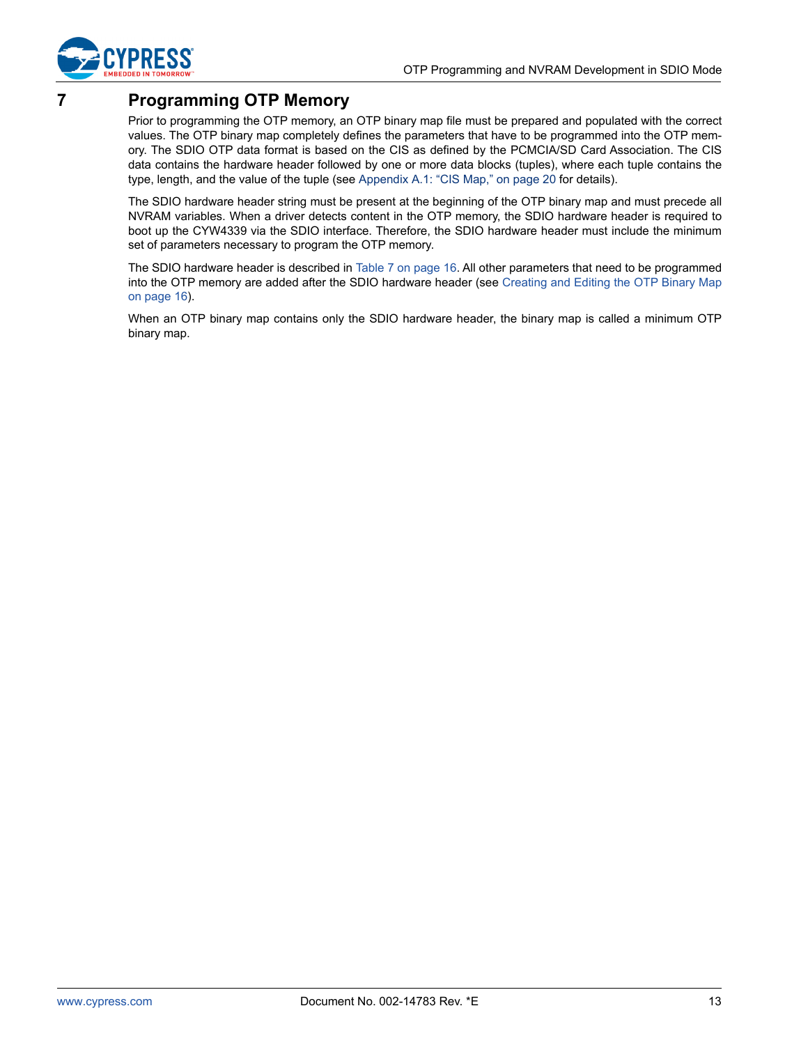

# <span id="page-12-0"></span>**7 Programming OTP Memory**

Prior to programming the OTP memory, an OTP binary map file must be prepared and populated with the correct values. The OTP binary map completely defines the parameters that have to be programmed into the OTP memory. The SDIO OTP data format is based on the CIS as defined by the PCMCIA/SD Card Association. The CIS data contains the hardware header followed by one or more data blocks (tuples), where each tuple contains the type, length, and the value of the tuple (see [Appendix A.1: "CIS Map," on page 20](#page-19-1) for details).

The SDIO hardware header string must be present at the beginning of the OTP binary map and must precede all NVRAM variables. When a driver detects content in the OTP memory, the SDIO hardware header is required to boot up the CYW4339 via the SDIO interface. Therefore, the SDIO hardware header must include the minimum set of parameters necessary to program the OTP memory.

The SDIO hardware header is described in [Table 7 on page 16](#page-15-1). All other parameters that need to be programmed into the OTP memory are added after the SDIO hardware header (see [Creating and Editing the OTP Binary Map](#page-15-0) [on page 16](#page-15-0)).

When an OTP binary map contains only the SDIO hardware header, the binary map is called a minimum OTP binary map.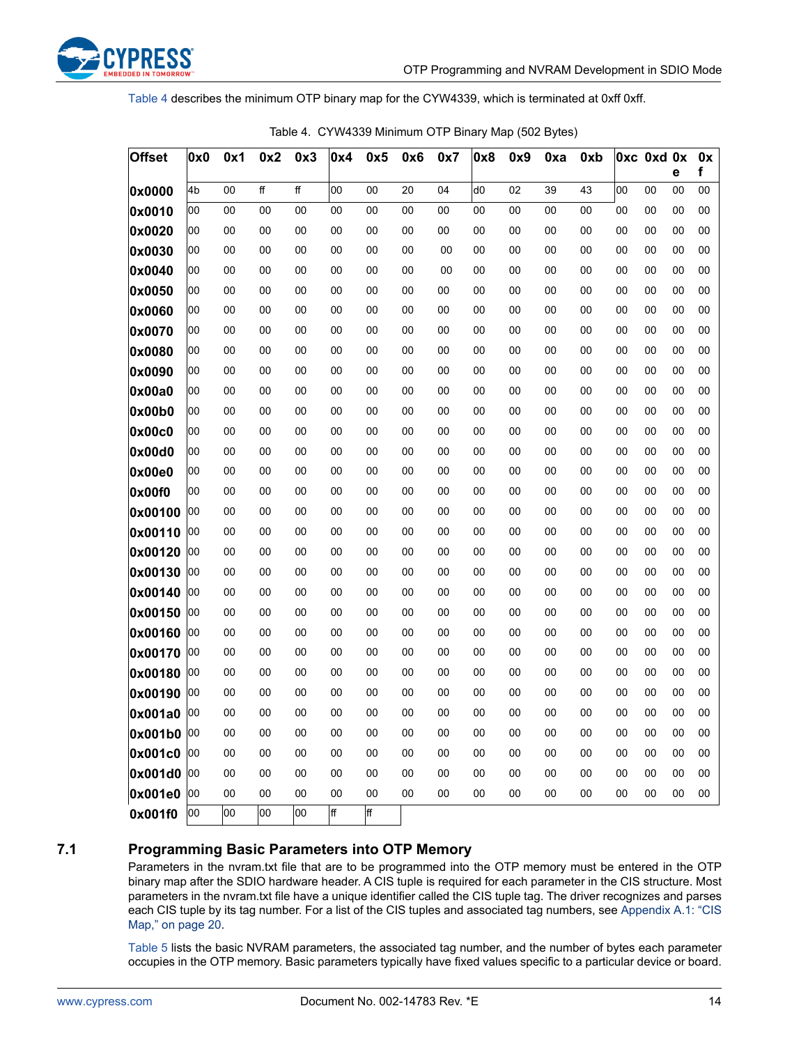

[Table 4](#page-13-1) describes the minimum OTP binary map for the CYW4339, which is terminated at 0xff 0xff.

<span id="page-13-1"></span>

| <b>Offset</b> | 0x0 | 0x1 | 0x2            | 0x3 | 0x4 | 0x5 | 0x6 | 0x7 | 0x8            | 0x9 | 0xa | 0xb |        | Oxc Oxd Ox | е  | 0x<br>f |
|---------------|-----|-----|----------------|-----|-----|-----|-----|-----|----------------|-----|-----|-----|--------|------------|----|---------|
| 0x0000        | 4b  | 00  | $\overline{f}$ | ff  | 00  | 00  | 20  | 04  | d <sub>0</sub> | 02  | 39  | 43  | 00     | 00         | 00 | 00      |
| 0x0010        | 00  | 00  | 00             | 00  | 00  | 00  | 00  | 00  | 00             | 00  | 00  | 00  | 00     | 00         | 00 | 00      |
| 0x0020        | 00  | 00  | 00             | 00  | 00  | 00  | 00  | 00  | 00             | 00  | 00  | 00  | 00     | 00         | 00 | 00      |
| 0x0030        | 00  | 00  | 00             | 00  | 00  | 00  | 00  | 00  | 00             | 00  | 00  | 00  | 00     | 00         | 00 | 00      |
| 0x0040        | 00  | 00  | 00             | 00  | 00  | 00  | 00  | 00  | 00             | 00  | 00  | 00  | 00     | 00         | 00 | 00      |
| 0x0050        | 00  | 00  | 00             | 00  | 00  | 00  | 00  | 00  | 00             | 00  | 00  | 00  | 00     | 00         | 00 | 00      |
| 0x0060        | 00  | 00  | 00             | 00  | 00  | 00  | 00  | 00  | 00             | 00  | 00  | 00  | 00     | 00         | 00 | $00\,$  |
| 0x0070        | 00  | 00  | 00             | 00  | 00  | 00  | 00  | 00  | 00             | 00  | 00  | 00  | $00\,$ | 00         | 00 | 00      |
| 0x0080        | 00  | 00  | 00             | 00  | 00  | 00  | 00  | 00  | 00             | 00  | 00  | 00  | $00\,$ | 00         | 00 | 00      |
| 0x0090        | 00  | 00  | 00             | 00  | 00  | 00  | 00  | 00  | 00             | 00  | 00  | 00  | 00     | 00         | 00 | 00      |
| 0x00a0        | 00  | 00  | 00             | 00  | 00  | 00  | 00  | 00  | 00             | 00  | 00  | 00  | 00     | 00         | 00 | 00      |
| 0x00b0        | 00  | 00  | 00             | 00  | 00  | 00  | 00  | 00  | 00             | 00  | 00  | 00  | 00     | 00         | 00 | 00      |
| 0x00c0        | 00  | 00  | 00             | 00  | 00  | 00  | 00  | 00  | 00             | 00  | 00  | 00  | 00     | 00         | 00 | 00      |
| 0x00d0        | 00  | 00  | 00             | 00  | 00  | 00  | 00  | 00  | 00             | 00  | 00  | 00  | 00     | 00         | 00 | 00      |
| 0x00e0        | 00  | 00  | 00             | 00  | 00  | 00  | 00  | 00  | 00             | 00  | 00  | 00  | 00     | 00         | 00 | 00      |
| 0x00f0        | 00  | 00  | 00             | 00  | 00  | 00  | 00  | 00  | 00             | 00  | 00  | 00  | 00     | 00         | 00 | 00      |
| 0x00100       | 00  | 00  | 00             | 00  | 00  | 00  | 00  | 00  | 00             | 00  | 00  | 00  | 00     | 00         | 00 | $00\,$  |
| 0x00110       | 00  | 00  | 00             | 00  | 00  | 00  | 00  | 00  | 00             | 00  | 00  | 00  | $00\,$ | 00         | 00 | 00      |
| 0x00120       | 00  | 00  | 00             | 00  | 00  | 00  | 00  | 00  | 00             | 00  | 00  | 00  | 00     | 00         | 00 | 00      |
| 0x00130       | 00  | 00  | 00             | 00  | 00  | 00  | 00  | 00  | 00             | 00  | 00  | 00  | 00     | 00         | 00 | 00      |
| 0x00140       | 00  | 00  | 00             | 00  | 00  | 00  | 00  | 00  | 00             | 00  | 00  | 00  | 00     | 00         | 00 | 00      |
| 0x00150       | 00  | 00  | 00             | 00  | 00  | 00  | 00  | 00  | 00             | 00  | 00  | 00  | 00     | 00         | 00 | 00      |
| 0x00160       | 00  | 00  | 00             | 00  | 00  | 00  | 00  | 00  | 00             | 00  | 00  | 00  | $00\,$ | 00         | 00 | 00      |
| 0x00170       | 00  | 00  | 00             | 00  | 00  | 00  | 00  | 00  | 00             | 00  | 00  | 00  | 00     | 00         | 00 | 00      |
| 0x00180       | 00  | 00  | 00             | 00  | 00  | 00  | 00  | 00  | 00             | 00  | 00  | 00  | 00     | 00         | 00 | 00      |
| 0x00190       | 00  | 00  | 00             | 00  | 00  | 00  | 00  | 00  | 00             | 00  | 00  | 00  | 00     | 00         | 00 | 00      |
| 0x001a0       | 00  | 00  | 00             | 00  | 00  | 00  | 00  | 00  | 00             | 00  | 00  | 00  | 00     | 00         | 00 | 00      |
| 0x001b0       | 00  | 00  | 00             | 00  | 00  | 00  | 00  | 00  | 00             | 00  | 00  | 00  | 00     | 00         | 00 | 00      |
| 0x001c0       | 00  | 00  | 00             | 00  | 00  | 00  | 00  | 00  | 00             | 00  | 00  | 00  | 00     | 00         | 00 | 00      |
| 0x001d0       | 00  | 00  | 00             | 00  | 00  | 00  | 00  | 00  | 00             | 00  | 00  | 00  | 00     | 00         | 00 | 00      |
| 0x001e0       | 00  | 00  | 00             | 00  | 00  | 00  | 00  | 00  | 00             | 00  | 00  | 00  | 00     | 00         | 00 | 00      |
| 0x001f0       | 00  | 00  | 00             | 00  | ff  | ff  |     |     |                |     |     |     |        |            |    |         |

| Table 4. CYW4339 Minimum OTP Binary Map (502 Bytes) |  |  |  |  |  |  |  |  |
|-----------------------------------------------------|--|--|--|--|--|--|--|--|
|-----------------------------------------------------|--|--|--|--|--|--|--|--|

### <span id="page-13-0"></span>**7.1 Programming Basic Parameters into OTP Memory**

Parameters in the nvram.txt file that are to be programmed into the OTP memory must be entered in the OTP binary map after the SDIO hardware header. A CIS tuple is required for each parameter in the CIS structure. Most parameters in the nvram.txt file have a unique identifier called the CIS tuple tag. The driver recognizes and parses each CIS tuple by its tag number. For a list of the CIS tuples and associated tag numbers, see [Appendix A.1: "CIS](#page-19-1) [Map," on page 20.](#page-19-1)

[Table 5](#page-14-0) lists the basic NVRAM parameters, the associated tag number, and the number of bytes each parameter occupies in the OTP memory. Basic parameters typically have fixed values specific to a particular device or board.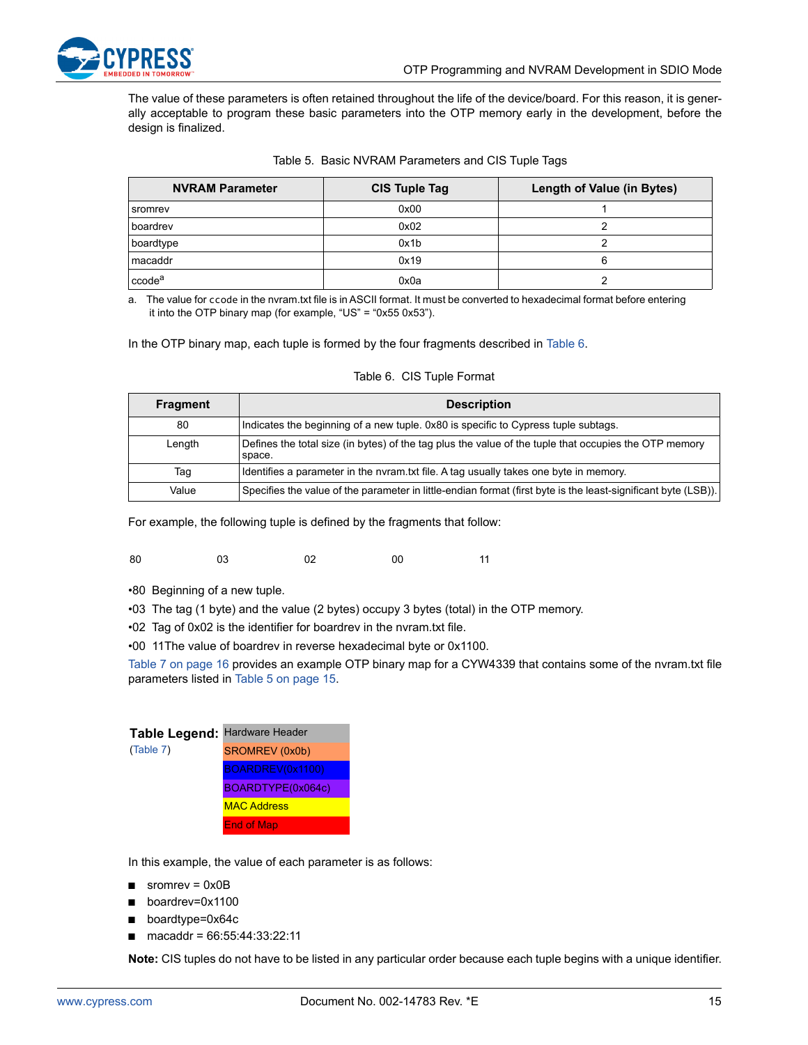The value of these parameters is often retained throughout the life of the device/board. For this reason, it is generally acceptable to program these basic parameters into the OTP memory early in the development, before the design is finalized.

|  | Table 5. Basic NVRAM Parameters and CIS Tuple Tags |  |  |  |  |  |
|--|----------------------------------------------------|--|--|--|--|--|
|--|----------------------------------------------------|--|--|--|--|--|

<span id="page-14-0"></span>

| <b>NVRAM Parameter</b> | CIS Tuple Tag | Length of Value (in Bytes) |
|------------------------|---------------|----------------------------|
| sromrev                | 0x00          |                            |
| boardrev               | 0x02          |                            |
| boardtype              | 0x1b          |                            |
| macaddr                | 0x19          |                            |
| ccode <sup>a</sup>     | 0x0a          |                            |

a. The value for ccode in the nvram.txt file is in ASCII format. It must be converted to hexadecimal format before entering it into the OTP binary map (for example, "US" = "0x55 0x53").

In the OTP binary map, each tuple is formed by the four fragments described in [Table 6](#page-14-1).

#### Table 6. CIS Tuple Format

<span id="page-14-1"></span>

| <b>Fragment</b> | <b>Description</b>                                                                                              |
|-----------------|-----------------------------------------------------------------------------------------------------------------|
| 80              | Indicates the beginning of a new tuple. 0x80 is specific to Cypress tuple subtags.                              |
| Length          | Defines the total size (in bytes) of the tag plus the value of the tuple that occupies the OTP memory<br>space. |
| Taq             | Identifies a parameter in the nvram.txt file. A tag usually takes one byte in memory.                           |
| Value           | Specifies the value of the parameter in little-endian format (first byte is the least-significant byte (LSB)).  |

For example, the following tuple is defined by the fragments that follow:

- 80 03 02 00 11
- •80 Beginning of a new tuple.
- •03 The tag (1 byte) and the value (2 bytes) occupy 3 bytes (total) in the OTP memory.
- •02 Tag of 0x02 is the identifier for boardrev in the nvram.txt file.
- •00 11The value of boardrev in reverse hexadecimal byte or 0x1100.

[Table 7 on page 16](#page-15-1) provides an example OTP binary map for a CYW4339 that contains some of the nvram.txt file parameters listed in [Table 5 on page 15.](#page-14-0)

| Table Legend: Hardware Header |                    |
|-------------------------------|--------------------|
| (Table 7)                     | SROMREV (0x0b)     |
|                               | BOARDREV(0x1100)   |
|                               | BOARDTYPE(0x064c)  |
|                               | <b>MAC Address</b> |
|                               | <b>End of Map</b>  |

In this example, the value of each parameter is as follows:

- $\blacksquare$  sromrev = 0x0B
- boardrev=0x1100
- boardtype=0x64c
- macaddr = 66:55:44:33:22:11

**Note:** CIS tuples do not have to be listed in any particular order because each tuple begins with a unique identifier.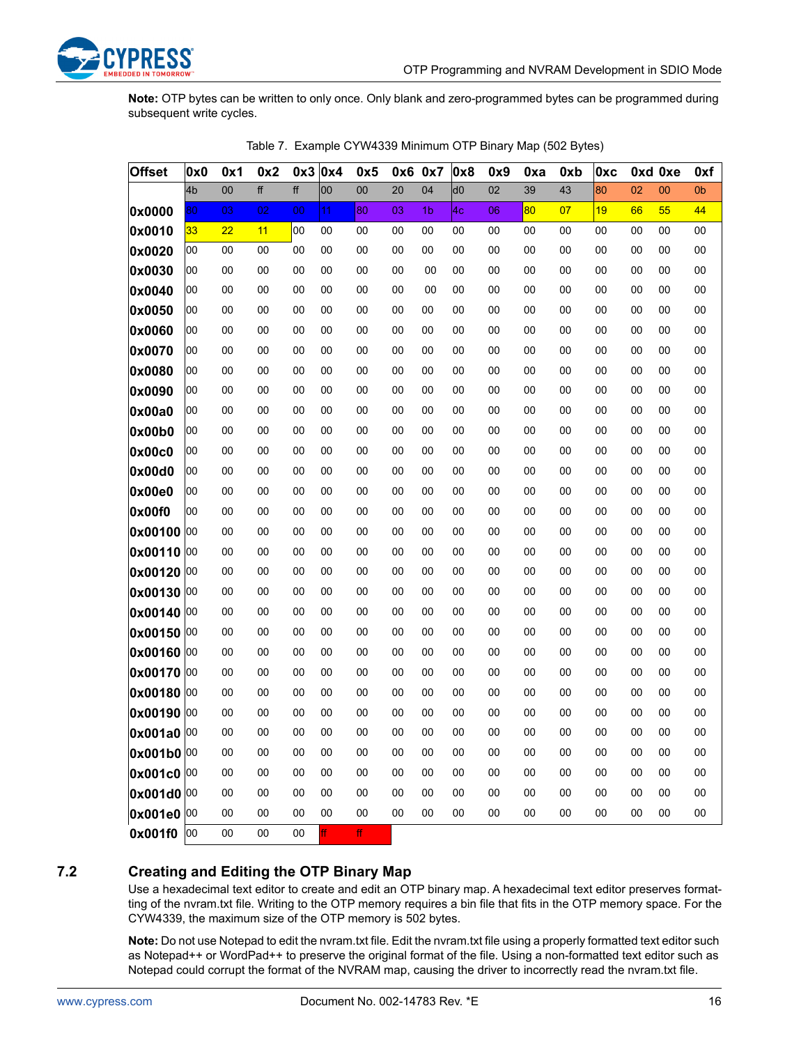**Note:** OTP bytes can be written to only once. Only blank and zero-programmed bytes can be programmed during subsequent write cycles.

<span id="page-15-1"></span>

| <b>Offset</b> | 0x0            | 0x1 | 0x2 | 0x3 | 0x4 | 0x5    | 0x6 0x7 |                | 0x8            | 0x9 | 0xa | 0xb | 0xc |    | 0xd 0xe | 0xf    |
|---------------|----------------|-----|-----|-----|-----|--------|---------|----------------|----------------|-----|-----|-----|-----|----|---------|--------|
|               | 4 <sub>b</sub> | 00  | ff  | ff  | 00  | $00\,$ | 20      | 04             | d <sub>0</sub> | 02  | 39  | 43  | 80  | 02 | 00      | 0b     |
| 0x0000        | 80             | 03  | 02  | 00  | 11  | 80     | 03      | 1 <sub>b</sub> | 4 <sub>c</sub> | 06  | 80  | 07  | 19  | 66 | 55      | 44     |
| 0x0010        | 33             | 22  | 11  | 00  | 00  | 00     | 00      | 00             | 00             | 00  | 00  | 00  | 00  | 00 | 00      | 00     |
| 0x0020        | 00             | 00  | 00  | 00  | 00  | 00     | 00      | 00             | 00             | 00  | 00  | 00  | 00  | 00 | 00      | 00     |
| 0x0030        | 00             | 00  | 00  | 00  | 00  | 00     | 00      | 00             | 00             | 00  | 00  | 00  | 00  | 00 | 00      | 00     |
| 0x0040        | 00             | 00  | 00  | 00  | 00  | 00     | 00      | 00             | 00             | 00  | 00  | 00  | 00  | 00 | 00      | 00     |
| 0x0050        | 00             | 00  | 00  | 00  | 00  | 00     | 00      | 00             | 00             | 00  | 00  | 00  | 00  | 00 | 00      | 00     |
| 0x0060        | 00             | 00  | 00  | 00  | 00  | 00     | 00      | 00             | 00             | 00  | 00  | 00  | 00  | 00 | 00      | $00\,$ |
| 0x0070        | 00             | 00  | 00  | 00  | 00  | 00     | 00      | 00             | 00             | 00  | 00  | 00  | 00  | 00 | 00      | 00     |
| 0x0080        | 00             | 00  | 00  | 00  | 00  | 00     | 00      | 00             | 00             | 00  | 00  | 00  | 00  | 00 | 00      | 00     |
| 0x0090        | 00             | 00  | 00  | 00  | 00  | 00     | 00      | 00             | 00             | 00  | 00  | 00  | 00  | 00 | 00      | $00\,$ |
| 0x00a0        | 00             | 00  | 00  | 00  | 00  | 00     | 00      | 00             | 00             | 00  | 00  | 00  | 00  | 00 | 00      | $00\,$ |
| 0x00b0        | 00             | 00  | 00  | 00  | 00  | 00     | 00      | 00             | 00             | 00  | 00  | 00  | 00  | 00 | 00      | 00     |
| 0x00c0        | 00             | 00  | 00  | 00  | 00  | 00     | 00      | 00             | 00             | 00  | 00  | 00  | 00  | 00 | 00      | 00     |
| 0x00d0        | 00             | 00  | 00  | 00  | 00  | 00     | 00      | 00             | 00             | 00  | 00  | 00  | 00  | 00 | 00      | $00\,$ |
| 0x00e0        | 00             | 00  | 00  | 00  | 00  | 00     | 00      | 00             | 00             | 00  | 00  | 00  | 00  | 00 | 00      | 00     |
| 0x00f0        | 00             | 00  | 00  | 00  | 00  | 00     | 00      | 00             | 00             | 00  | 00  | 00  | 00  | 00 | 00      | 00     |
| 0x00100 00    |                | 00  | 00  | 00  | 00  | 00     | 00      | 00             | 00             | 00  | 00  | 00  | 00  | 00 | 00      | 00     |
| 0x00110 00    |                | 00  | 00  | 00  | 00  | 00     | 00      | 00             | 00             | 00  | 00  | 00  | 00  | 00 | 00      | $00\,$ |
| 0x00120       | 00             | 00  | 00  | 00  | 00  | 00     | 00      | 00             | 00             | 00  | 00  | 00  | 00  | 00 | 00      | 00     |
| 0x00130       | 00             | 00  | 00  | 00  | 00  | 00     | 00      | 00             | 00             | 00  | 00  | 00  | 00  | 00 | 00      | 00     |
| 0x00140       | 00             | 00  | 00  | 00  | 00  | 00     | 00      | 00             | 00             | 00  | 00  | 00  | 00  | 00 | 00      | 00     |
| 0x00150 00    |                | 00  | 00  | 00  | 00  | 00     | 00      | 00             | 00             | 00  | 00  | 00  | 00  | 00 | 00      | 00     |
| 0x00160 00    |                | 00  | 00  | 00  | 00  | 00     | 00      | 00             | 00             | 00  | 00  | 00  | 00  | 00 | 00      | 00     |
| 0x00170       | 00             | 00  | 00  | 00  | 00  | 00     | 00      | 00             | 00             | 00  | 00  | 00  | 00  | 00 | 00      | 00     |
| 0x00180       | 00             | 00  | 00  | 00  | 00  | 00     | 00      | 00             | 00             | 00  | 00  | 00  | 00  | 00 | 00      | $00\,$ |
| 0x00190       | 00             | 00  | 00  | 00  | 00  | 00     | 00      | 00             | 00             | 00  | 00  | 00  | 00  | 00 | 00      | 00     |
| 0x001a0       | 100            | 00  | 00  | 00  | 00  | 00     | 00      | 00             | 00             | 00  | 00  | 00  | 00  | 00 | 00      | 00     |
| 0x001b0 00    |                | 00  | 00  | 00  | 00  | 00     | 00      | 00             | 00             | 00  | 00  | 00  | 00  | 00 | 00      | $00\,$ |
| 0x001c0 00    |                | 00  | 00  | 00  | 00  | 00     | 00      | 00             | 00             | 00  | 00  | 00  | 00  | 00 | 00      | $00\,$ |
| 0x001d0       | 00             | 00  | 00  | 00  | 00  | 00     | 00      | 00             | 00             | 00  | 00  | 00  | 00  | 00 | 00      | 00     |
| 0x001e0 00    |                | 00  | 00  | 00  | 00  | 00     | 00      | 00             | 00             | 00  | 00  | 00  | 00  | 00 | 00      | 00     |
| 0x001f0       | 00             | 00  | 00  | 00  | ff. | ff     |         |                |                |     |     |     |     |    |         |        |

Table 7. Example CYW4339 Minimum OTP Binary Map (502 Bytes)

### <span id="page-15-0"></span>**7.2 Creating and Editing the OTP Binary Map**

Use a hexadecimal text editor to create and edit an OTP binary map. A hexadecimal text editor preserves formatting of the nvram.txt file. Writing to the OTP memory requires a bin file that fits in the OTP memory space. For the CYW4339, the maximum size of the OTP memory is 502 bytes.

**Note:** Do not use Notepad to edit the nvram.txt file. Edit the nvram.txt file using a properly formatted text editor such as Notepad++ or WordPad++ to preserve the original format of the file. Using a non-formatted text editor such as Notepad could corrupt the format of the NVRAM map, causing the driver to incorrectly read the nvram.txt file.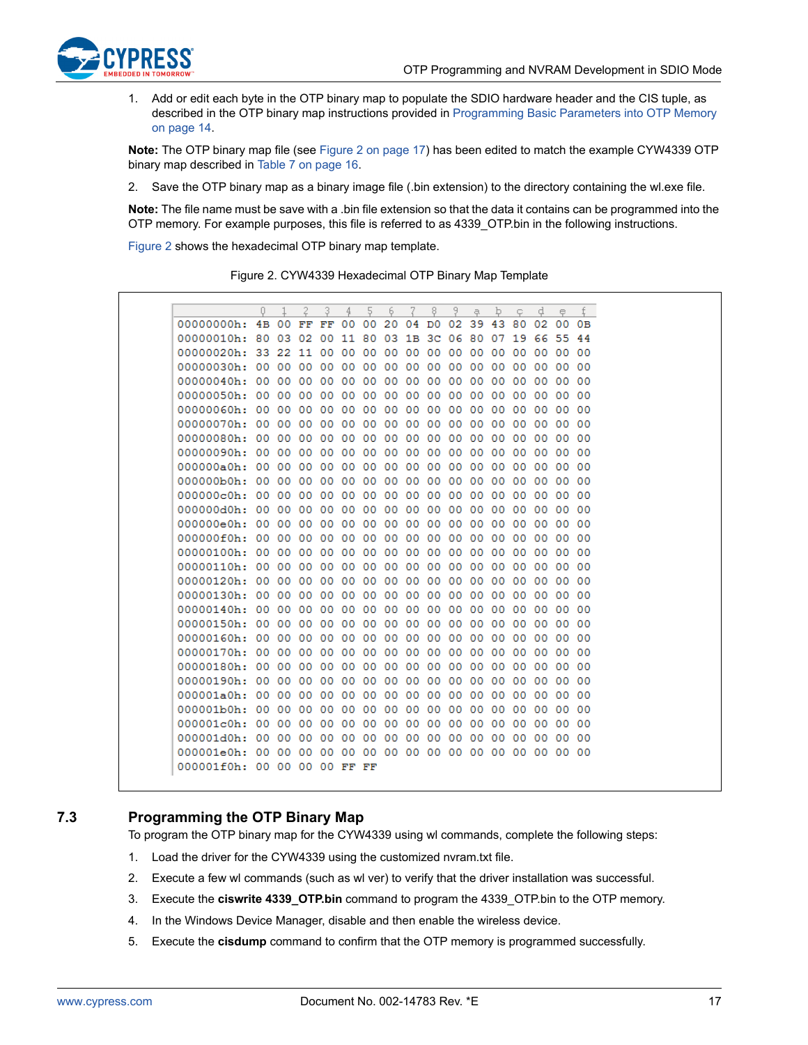

1. Add or edit each byte in the OTP binary map to populate the SDIO hardware header and the CIS tuple, as described in the OTP binary map instructions provided in [Programming Basic Parameters into OTP Memory](#page-13-0)  [on page 14](#page-13-0).

**Note:** The OTP binary map file (see [Figure 2 on page 17\)](#page-16-1) has been edited to match the example CYW4339 OTP binary map described in [Table 7 on page 16.](#page-15-1)

2. Save the OTP binary map as a binary image file (.bin extension) to the directory containing the wl.exe file.

**Note:** The file name must be save with a .bin file extension so that the data it contains can be programmed into the OTP memory. For example purposes, this file is referred to as 4339\_OTP.bin in the following instructions.

<span id="page-16-1"></span>[Figure 2](#page-16-1) shows the hexadecimal OTP binary map template.

Figure 2. CYW4339 Hexadecimal OTP Binary Map Template

|               | 0  |                 | 2  | 3  | 4       | 5   | 6  | 7   | 8              | 9  | a.      | Þ  | Ç.      | ₫       | e   | f              |
|---------------|----|-----------------|----|----|---------|-----|----|-----|----------------|----|---------|----|---------|---------|-----|----------------|
| $00000000h$ : | 4B | 00              | FF | FF | 00      | 00  | 20 | 04  | D <sub>0</sub> | 02 | 39      | 43 | 80      | 02      | 00  | 0 <sub>B</sub> |
| 00000010h:    | 80 | 03              | 02 | 00 | 11      | 80  | 03 | 1B  | зс             | 06 | 80      | 07 | 19      | 66      | 55  | 44             |
| 00000020h:    | 33 | 22              | 11 | 00 | 00      | 00  | 00 | 00  | 00             | 00 | 00      | 00 | 00      | 00      | 00  | 00             |
| 00000030h:    | 00 | 00              | 00 | 00 | 00      | 00  | 00 | 00  | 00             | 00 | 00      | 00 | 00      | 00      | 00  | 00             |
| 00000040h:    | 00 | 00              | 00 | 00 | 00      | 00  | 00 | 00  | 00             | 00 | 00      | 00 | 00      | 00      | 00  | 00             |
| 00000050h:    | 00 | 00              | 00 | 00 | 00      | 00  | 00 | 00  | 00             | 00 | 00      | 00 | 00      | 00      | 00  | 00             |
| 00000060h:    | 00 | 00              | 00 | 00 | 00      | 00  | 00 | 00  | 00             | 00 | 00      | 00 | 00      | 00      | 00  | 00             |
| 00000070h:    | 00 | 00              | 00 | 00 | 00      | 00  | 00 | 00  | 00             | 00 | 00      | 00 | 00      | 00      | 00  | 00             |
| 00000080h:    | 00 | 00              | 00 | 00 | 00      | 00  | 00 | 00  | 00             | 00 | 00      | 00 | 00      | 00      | 00  | 00             |
| 00000090h:    | 00 | 00              | 00 | 00 | 00      | 00  | 00 | 00  | 00             | 00 | 00      | 00 | 00      | 00      | OO. | -00            |
| 000000a0h:    | 00 | 00              | 00 | 00 | 00      | 00  | 00 | 00  | 00             | 00 | 00      | 00 | 00      | 00      | 00  | 00             |
| 000000b0h:    | 00 | 00              | 00 | 00 | 00      | 00  | 00 | 00  | 00             | 00 | 00      | 00 | 00      | 00      | 00  | 00             |
| 000000c0h:    | 00 | 00              | 00 | 00 | 00      | 00  | 00 | 00  | 00             | 00 | 00      | 00 | 00      | 00      | 00  | 00             |
| 000000d0h:    | 00 | 00              | 00 | 00 | 00      | 00  | 00 | 00  | 00             | 00 | 00      | 00 | 00      | 00      | 00  | 00             |
| 000000e0h:    | 00 | 00              | 00 | 00 | 00      | 00  | 00 | 00  | 00             | 00 | 00      | 00 | 00      | 00      | 00  | 00             |
| 000000f0h:    | 00 | 00              | 00 | 00 | 00      | 00  | 00 | 00  | 00             | 00 | 00      | 00 | 00      | 00      | 00  | 00             |
| 00000100h:    | 00 | 00              | 00 | 00 | 00      | 00  | 00 | 00  | 00             | 00 | 00      | 00 | 00      | 00      | 00  | -00            |
| 00000110h:    | 00 | 00              | 00 | 00 | 00      | 00  | 00 | 00  | 00             | 00 | 00      | 00 | 00      | 00      | 00  | 00             |
| 00000120h:    | 00 | 00              | 00 | 00 | 00      | 00  | 00 | 00  | 00             | 00 | 00      | 00 | 00      | 00      | 00  | 00             |
| 00000130h:    | 00 | 00              | 00 | 00 | 00      | 00  | 00 | 00  | 00             | 00 | 00      | 00 | 00      | 00      | 00. | 00             |
| 00000140h:    | 00 | $^{00}$         | 00 | 00 | $^{00}$ | 00  | 00 | 00  | 00             | 00 | $^{00}$ | 00 | $^{00}$ | $^{00}$ | 00  | $^{00}$        |
| 00000150h:    | 00 | 00              | 00 | 00 | 00      | 00  | 00 | 00  | 00             | 00 | 00      | 00 | 00      | 00      | 00  | 00             |
| 00000160h:    | 00 | 00              | 00 | 00 | 00      | 00  | 00 | 00  | 00             | 00 | 00      | 00 | 00      | 00      | 00  | 00             |
| 00000170h:    | 00 | 00              | 00 | 00 | 00      | ٥o  | 00 | 00  | 00             | 00 | 00      | 00 | 00      | 00      | 00. | -00            |
| 00000180h:    | 00 | 00              | 00 | 00 | 00      | 00  | 00 | 00  | 00             | 00 | 00      | 00 | 00      | 00      | 00  | 00             |
| 00000190h:    | 00 | 00              | 00 | 00 | 00      | 00  | 00 | 00  | 00             | 00 | 00      | 00 | 00      | 00      | 00  | 00             |
| 000001a0h:    | 00 | 00              | 00 | 00 | 00      | 00  | 00 | 00  | 00             | 00 | 00      | 00 | 00      | 00      | 00  | 00             |
| $000001b0h$ : | 00 | 00              | 00 | 00 | 00      | 00  | 00 | 00  | 00             | 00 | 00      | 00 | 00      | 00      | 00  | 00             |
| 000001c0h:    | 00 | 00              | 00 | 00 | 00      | 00  | 00 | 00  | 00             | 00 | 00      | 00 | 00      | 00      | 00  | 00             |
| 000001d0h:    | 00 | 00              | 00 | 00 | 00      | 00  | 00 | 00  | 00             | 00 | 00      | 00 | 00      | 00      | 00  | 00             |
| $000001e0h$ : | 00 | 00              | 00 | 00 | 00      | 00. | 00 | -00 | 00             |    | 00 00   | 00 | 00      | 00.     | 00  | -00            |
| 000001f0h:    | 00 | 00 <sup>o</sup> | 00 | 00 | FF      | FF  |    |     |                |    |         |    |         |         |     |                |
|               |    |                 |    |    |         |     |    |     |                |    |         |    |         |         |     |                |

### <span id="page-16-0"></span>**7.3 Programming the OTP Binary Map**

To program the OTP binary map for the CYW4339 using wl commands, complete the following steps:

- 1. Load the driver for the CYW4339 using the customized nvram.txt file.
- 2. Execute a few wl commands (such as wl ver) to verify that the driver installation was successful.
- 3. Execute the **ciswrite 4339\_OTP.bin** command to program the 4339\_OTP.bin to the OTP memory.
- 4. In the Windows Device Manager, disable and then enable the wireless device.
- 5. Execute the **cisdump** command to confirm that the OTP memory is programmed successfully.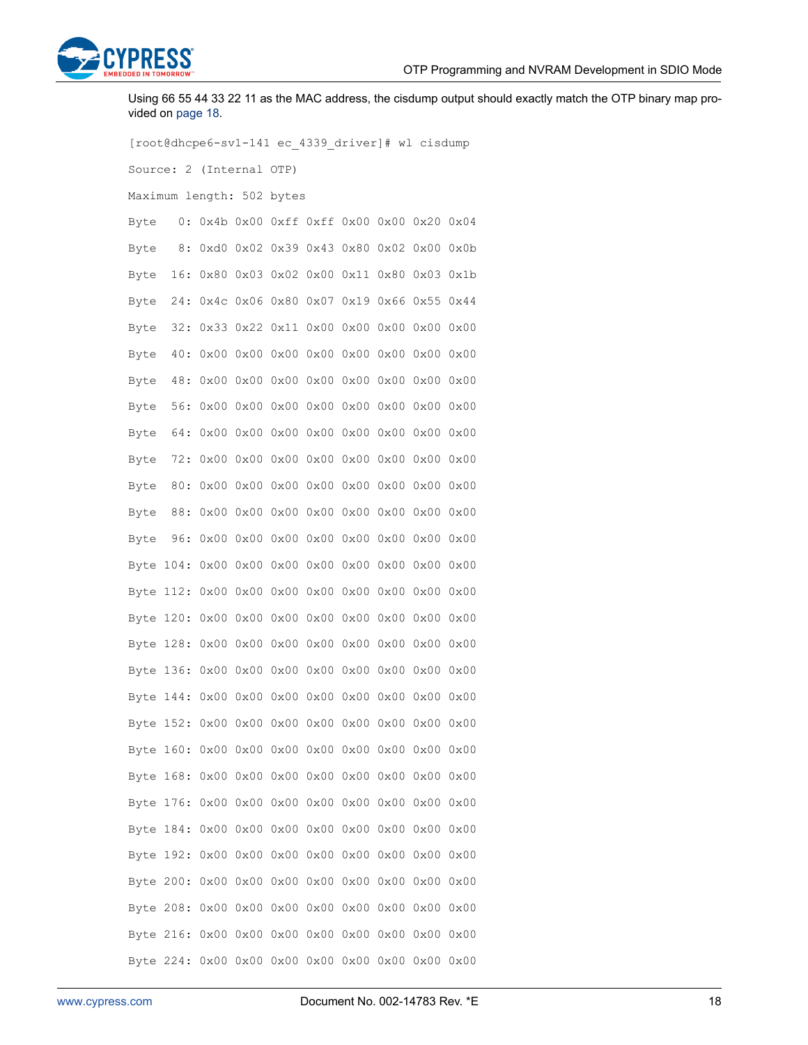

Using 66 55 44 33 22 11 as the MAC address, the cisdump output should exactly match the OTP binary map provided on page 18.

[root@dhcpe6-sv1-141 ec\_4339\_driver]# wl cisdump Source: 2 (Internal OTP) Maximum length: 502 bytes Byte 0: 0x4b 0x00 0xff 0xff 0x00 0x00 0x20 0x04 Byte 8: 0xd0 0x02 0x39 0x43 0x80 0x02 0x00 0x0b Byte 16: 0x80 0x03 0x02 0x00 0x11 0x80 0x03 0x1b Byte 24: 0x4c 0x06 0x80 0x07 0x19 0x66 0x55 0x44 Byte 32: 0x33 0x22 0x11 0x00 0x00 0x00 0x00 0x00 Byte 40: 0x00 0x00 0x00 0x00 0x00 0x00 0x00 0x00 Byte 48: 0x00 0x00 0x00 0x00 0x00 0x00 0x00 0x00 Byte 56: 0x00 0x00 0x00 0x00 0x00 0x00 0x00 0x00 Byte 64: 0x00 0x00 0x00 0x00 0x00 0x00 0x00 0x00 Byte 72: 0x00 0x00 0x00 0x00 0x00 0x00 0x00 0x00 Byte 80: 0x00 0x00 0x00 0x00 0x00 0x00 0x00 0x00 Byte 88: 0x00 0x00 0x00 0x00 0x00 0x00 0x00 0x00 Byte 96: 0x00 0x00 0x00 0x00 0x00 0x00 0x00 0x00 Byte 104: 0x00 0x00 0x00 0x00 0x00 0x00 0x00 0x00 Byte 112: 0x00 0x00 0x00 0x00 0x00 0x00 0x00 0x00 Byte 120: 0x00 0x00 0x00 0x00 0x00 0x00 0x00 0x00 Byte 128: 0x00 0x00 0x00 0x00 0x00 0x00 0x00 0x00 Byte 136: 0x00 0x00 0x00 0x00 0x00 0x00 0x00 0x00 Byte 144: 0x00 0x00 0x00 0x00 0x00 0x00 0x00 0x00 Byte 152: 0x00 0x00 0x00 0x00 0x00 0x00 0x00 0x00 Byte 160: 0x00 0x00 0x00 0x00 0x00 0x00 0x00 0x00 Byte 168: 0x00 0x00 0x00 0x00 0x00 0x00 0x00 0x00 Byte 176: 0x00 0x00 0x00 0x00 0x00 0x00 0x00 0x00 Byte 184: 0x00 0x00 0x00 0x00 0x00 0x00 0x00 0x00 Byte 192: 0x00 0x00 0x00 0x00 0x00 0x00 0x00 0x00 Byte 200: 0x00 0x00 0x00 0x00 0x00 0x00 0x00 0x00 Byte 208: 0x00 0x00 0x00 0x00 0x00 0x00 0x00 0x00 Byte 216: 0x00 0x00 0x00 0x00 0x00 0x00 0x00 0x00 Byte 224: 0x00 0x00 0x00 0x00 0x00 0x00 0x00 0x00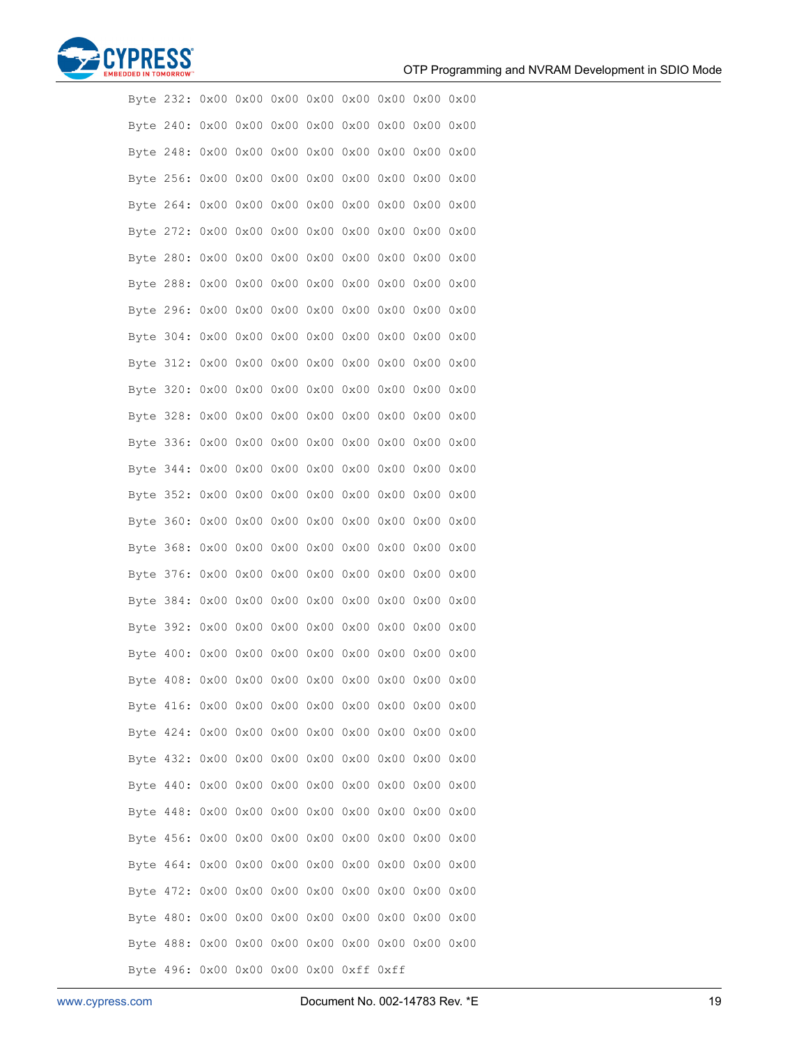

|  | Byte 232:                               |                               |                     |                      |      |                          |               |             |               |  |
|--|-----------------------------------------|-------------------------------|---------------------|----------------------|------|--------------------------|---------------|-------------|---------------|--|
|  | Byte 240:                               |                               |                     |                      |      |                          |               |             |               |  |
|  | Byte 248:                               | 0x00 0x00 0x00 0x00           |                     |                      |      |                          | $0x00$ $0x00$ | 0x0000x00   |               |  |
|  | Byte 256:                               | 0x00                          | 0x00                | 0x00                 | 0x00 |                          | $0x00$ $0x00$ | 0x00        | 0x00          |  |
|  | Byte 264:                               |                               |                     |                      |      |                          |               |             |               |  |
|  | Byte 272:                               | $0\times00$                   |                     | 0x0000000000         |      |                          | $0x00$ $0x00$ | 0x0000x00   |               |  |
|  | Byte 280:                               | 0x00                          | 0x00                | 0x00                 | 0x00 | 0x00                     | 0x00          | $0\times00$ | 0x00          |  |
|  | Byte 288:                               |                               |                     |                      |      |                          |               |             |               |  |
|  | Byte 296:                               | $0\times00$                   |                     | $0x00$ $0x00$ $0x00$ |      |                          | $0x00$ $0x00$ | 0x0000x00   |               |  |
|  | Byte 304:                               | 0x00                          | 0x00                | 0x00                 | 0x00 | 0x00                     | 0x00          | 0x00        | 0x00          |  |
|  | Byte 312:                               | 0x00 0x00 0x00 0x00 0x00 0x00 |                     |                      |      |                          |               | 0x000x00    |               |  |
|  | Byte 320:                               | 0x00                          |                     | 0x0000000000         |      |                          | $0x00$ $0x00$ | 0x000x00    |               |  |
|  | Byte 328:                               | 0x00                          | 0x00                | 0x00                 | 0x00 | 0x00                     | 0x00          | 0x00        | 0x00          |  |
|  | Byte 336:                               | 0x00                          |                     |                      |      | 0x00 0x00 0x00 0x00 0x00 |               | 0x0000x00   |               |  |
|  | Byte 344:                               | $0\times00$                   |                     | 0x0000000000         |      |                          | $0x00$ $0x00$ | 0x000x00    |               |  |
|  | Byte 352:                               | 0x00                          | 0x00                | 0x00                 | 0x00 |                          | $0x00$ $0x00$ | 0x00        | 0x00          |  |
|  | Byte 360:                               | 0x00                          |                     |                      |      | 0x00 0x00 0x00 0x00 0x00 |               | 0x0000x00   |               |  |
|  | Byte 368:                               | $0\times00$                   |                     | $0x00$ $0x00$ $0x00$ |      |                          | $0x00$ $0x00$ | 0x0000x00   |               |  |
|  | Byte 376:                               | 0x00                          | 0x00                | 0x00                 | 0x00 |                          | $0x00$ $0x00$ | 0x0000x00   |               |  |
|  | Byte 384:                               | 0x00                          |                     | 0x00 0x00 0x00       |      |                          | $0x00$ $0x00$ |             | $0x00$ $0x00$ |  |
|  | Byte 392:                               | $0\times00$                   |                     | $0x00$ $0x00$ $0x00$ |      |                          | $0x00$ $0x00$ |             | $0x00$ $0x00$ |  |
|  | Byte 400:                               | 0x00                          | 0x00                | 0x00                 | 0x00 |                          | $0x00$ $0x00$ | 0x00        | 0x00          |  |
|  | Byte 408:                               |                               | 0x00 0x00 0x00 0x00 |                      |      |                          | $0x00$ $0x00$ | 0x000x00    |               |  |
|  |                                         |                               |                     |                      |      |                          |               |             |               |  |
|  |                                         |                               |                     |                      |      |                          |               |             |               |  |
|  |                                         |                               |                     |                      |      |                          |               |             |               |  |
|  | Byte 440: 0x00 0x00 0x00 0x00 0x00 0x00 |                               |                     |                      |      |                          |               | 0x0000x00   |               |  |
|  |                                         |                               |                     |                      |      |                          |               |             |               |  |
|  |                                         |                               |                     |                      |      |                          |               |             |               |  |
|  | Byte 464: 0x00 0x00 0x00 0x00 0x00 0x00 |                               |                     |                      |      |                          |               | 0x0000x00   |               |  |
|  |                                         |                               |                     |                      |      |                          |               |             |               |  |
|  |                                         |                               |                     |                      |      |                          |               |             |               |  |
|  |                                         |                               |                     |                      |      |                          |               |             |               |  |
|  | Byte 496: 0x00 0x00 0x00 0x00 0xff 0xff |                               |                     |                      |      |                          |               |             |               |  |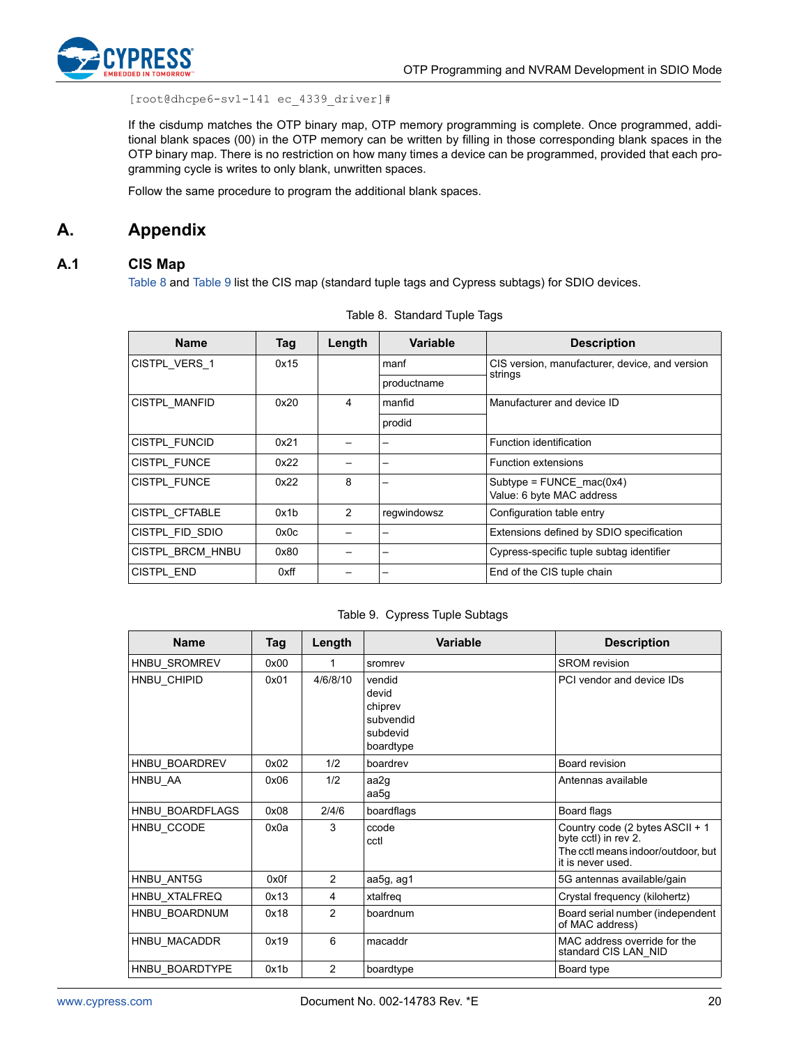

[root@dhcpe6-sv1-141 ec\_4339\_driver]#

If the cisdump matches the OTP binary map, OTP memory programming is complete. Once programmed, additional blank spaces (00) in the OTP memory can be written by filling in those corresponding blank spaces in the OTP binary map. There is no restriction on how many times a device can be programmed, provided that each programming cycle is writes to only blank, unwritten spaces.

Follow the same procedure to program the additional blank spaces.

### <span id="page-19-0"></span>**A. Appendix**

### <span id="page-19-1"></span>**A.1 CIS Map**

[Table 8](#page-19-2) and [Table 9](#page-19-3) list the CIS map (standard tuple tags and Cypress subtags) for SDIO devices.

<span id="page-19-2"></span>

| <b>Name</b>      | Tag  | Length | <b>Variable</b>          | <b>Description</b>                             |
|------------------|------|--------|--------------------------|------------------------------------------------|
| CISTPL_VERS_1    | 0x15 |        | manf                     | CIS version, manufacturer, device, and version |
|                  |      |        | productname              | strings                                        |
| CISTPL MANFID    | 0x20 | 4      | manfid                   | Manufacturer and device ID                     |
|                  |      |        | prodid                   |                                                |
| CISTPL FUNCID    | 0x21 |        | $\overline{\phantom{0}}$ | Function identification                        |
| CISTPL FUNCE     | 0x22 |        | $\overline{\phantom{0}}$ | <b>Function extensions</b>                     |
| CISTPL FUNCE     | 0x22 | 8      | $\qquad \qquad$          | Subtype = $FWCE$ mac(0x4)                      |
|                  |      |        |                          | Value: 6 byte MAC address                      |
| CISTPL CFTABLE   | 0x1b | 2      | regwindowsz              | Configuration table entry                      |
| CISTPL FID SDIO  | 0x0c |        | $\overline{\phantom{0}}$ | Extensions defined by SDIO specification       |
| CISTPL_BRCM_HNBU | 0x80 |        | $\overline{\phantom{m}}$ | Cypress-specific tuple subtag identifier       |
| CISTPL END       | 0xff |        | $\overline{\phantom{0}}$ | End of the CIS tuple chain                     |

Table 8. Standard Tuple Tags

#### Table 9. Cypress Tuple Subtags

<span id="page-19-3"></span>

| <b>Name</b>     | Tag  | Length         | <b>Variable</b>                                                  | <b>Description</b>                                                                                                 |
|-----------------|------|----------------|------------------------------------------------------------------|--------------------------------------------------------------------------------------------------------------------|
| HNBU SROMREV    | 0x00 | 1              | sromrev                                                          | <b>SROM</b> revision                                                                                               |
| HNBU CHIPID     | 0x01 | 4/6/8/10       | vendid<br>devid<br>chiprev<br>subvendid<br>subdevid<br>boardtype | PCI vendor and device IDs                                                                                          |
| HNBU BOARDREV   | 0x02 | 1/2            | boardrev                                                         | Board revision                                                                                                     |
| HNBU AA         | 0x06 | 1/2            | aa2g<br>aa5g                                                     | Antennas available                                                                                                 |
| HNBU BOARDFLAGS | 0x08 | 2/4/6          | boardflags                                                       | Board flags                                                                                                        |
| HNBU CCODE      | 0x0a | 3              | ccode<br>cctl                                                    | Country code (2 bytes ASCII + 1<br>byte cctl) in rev 2.<br>The cctl means indoor/outdoor, but<br>it is never used. |
| HNBU ANT5G      | 0x0f | 2              | aa5g, ag1                                                        | 5G antennas available/gain                                                                                         |
| HNBU XTALFREQ   | 0x13 | 4              | xtalfreq                                                         | Crystal frequency (kilohertz)                                                                                      |
| HNBU BOARDNUM   | 0x18 | $\overline{c}$ | boardnum                                                         | Board serial number (independent<br>of MAC address)                                                                |
| HNBU MACADDR    | 0x19 | 6              | macaddr                                                          | MAC address override for the<br>standard CIS LAN NID                                                               |
| HNBU BOARDTYPE  | 0x1b | 2              | boardtype                                                        | Board type                                                                                                         |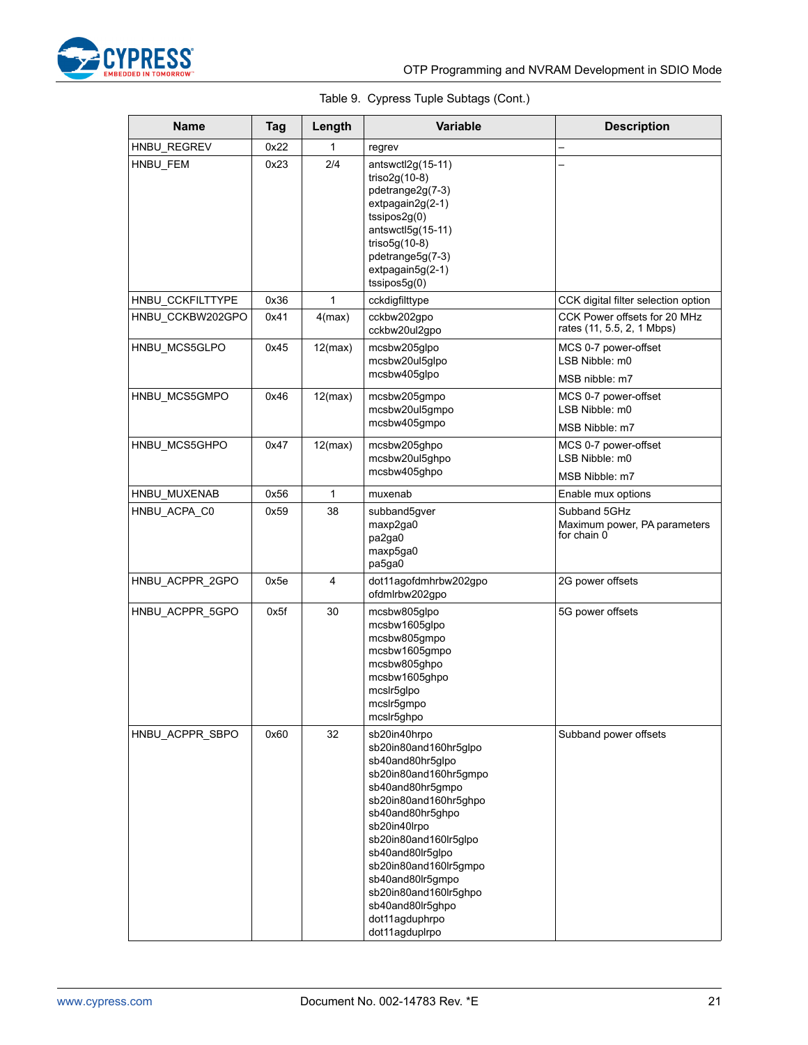

### Table 9. Cypress Tuple Subtags (Cont.)

| <b>Name</b>      | <b>Tag</b> | Length  | Variable                                                                                                                                                                                                                                                                                                                                       | <b>Description</b>                                          |
|------------------|------------|---------|------------------------------------------------------------------------------------------------------------------------------------------------------------------------------------------------------------------------------------------------------------------------------------------------------------------------------------------------|-------------------------------------------------------------|
| HNBU_REGREV      | 0x22       | 1       | regrev                                                                                                                                                                                                                                                                                                                                         |                                                             |
| HNBU_FEM         | 0x23       | 2/4     | $antswctl2q(15-11)$<br>triso $2g(10-8)$<br>pdetrange2g(7-3)<br>extpagain2g(2-1)<br>$t$ ssipos $2g(0)$<br>$antswctl5g(15-11)$<br>triso $5g(10-8)$<br>pdetrange5g(7-3)<br>extpagain5g(2-1)<br>$t$ ssipos $5g(0)$                                                                                                                                 |                                                             |
| HNBU_CCKFILTTYPE | 0x36       | 1       | cckdigfilttype                                                                                                                                                                                                                                                                                                                                 | CCK digital filter selection option                         |
| HNBU CCKBW202GPO | 0x41       | 4(max)  | cckbw202gpo<br>cckbw20ul2gpo                                                                                                                                                                                                                                                                                                                   | CCK Power offsets for 20 MHz<br>rates (11, 5.5, 2, 1 Mbps)  |
| HNBU MCS5GLPO    | 0x45       | 12(max) | mcsbw205glpo<br>mcsbw20ul5glpo<br>mcsbw405glpo                                                                                                                                                                                                                                                                                                 | MCS 0-7 power-offset<br>LSB Nibble: m0<br>MSB nibble: m7    |
| HNBU_MCS5GMPO    | 0x46       | 12(max) | mcsbw205gmpo<br>mcsbw20ul5gmpo<br>mcsbw405gmpo                                                                                                                                                                                                                                                                                                 | MCS 0-7 power-offset<br>LSB Nibble: m0<br>MSB Nibble: m7    |
| HNBU MCS5GHPO    | 0x47       | 12(max) | mcsbw205ghpo<br>mcsbw20ul5ghpo<br>mcsbw405qhpo                                                                                                                                                                                                                                                                                                 | MCS 0-7 power-offset<br>LSB Nibble: m0<br>MSB Nibble: m7    |
| HNBU MUXENAB     | 0x56       | 1       | muxenab                                                                                                                                                                                                                                                                                                                                        | Enable mux options                                          |
| HNBU_ACPA_C0     | 0x59       | 38      | subband5gver<br>maxp2ga0<br>pa2ga0<br>maxp5ga0<br>pa5ga0                                                                                                                                                                                                                                                                                       | Subband 5GHz<br>Maximum power, PA parameters<br>for chain 0 |
| HNBU ACPPR 2GPO  | 0x5e       | 4       | dot11agofdmhrbw202gpo<br>ofdmlrbw202gpo                                                                                                                                                                                                                                                                                                        | 2G power offsets                                            |
| HNBU_ACPPR_5GPO  | 0x5f       | 30      | mcsbw805glpo<br>mcsbw1605glpo<br>mcsbw805gmpo<br>mcsbw1605gmpo<br>mcsbw805ghpo<br>mcsbw1605qhpo<br>mcslr5glpo<br>mcslr5gmpo<br>mcslr5ghpo                                                                                                                                                                                                      | 5G power offsets                                            |
| HNBU_ACPPR_SBPO  | 0x60       | 32      | sb20in40hrpo<br>sb20in80and160hr5glpo<br>sb40and80hr5glpo<br>sb20in80and160hr5gmpo<br>sb40and80hr5qmpo<br>sb20in80and160hr5ghpo<br>sb40and80hr5ghpo<br>sb20in40lrpo<br>sb20in80and160lr5glpo<br>sb40and80lr5glpo<br>sb20in80and160lr5gmpo<br>sb40and80lr5gmpo<br>sb20in80and160lr5ghpo<br>sb40and80lr5ghpo<br>dot11agduphrpo<br>dot11agduplrpo | Subband power offsets                                       |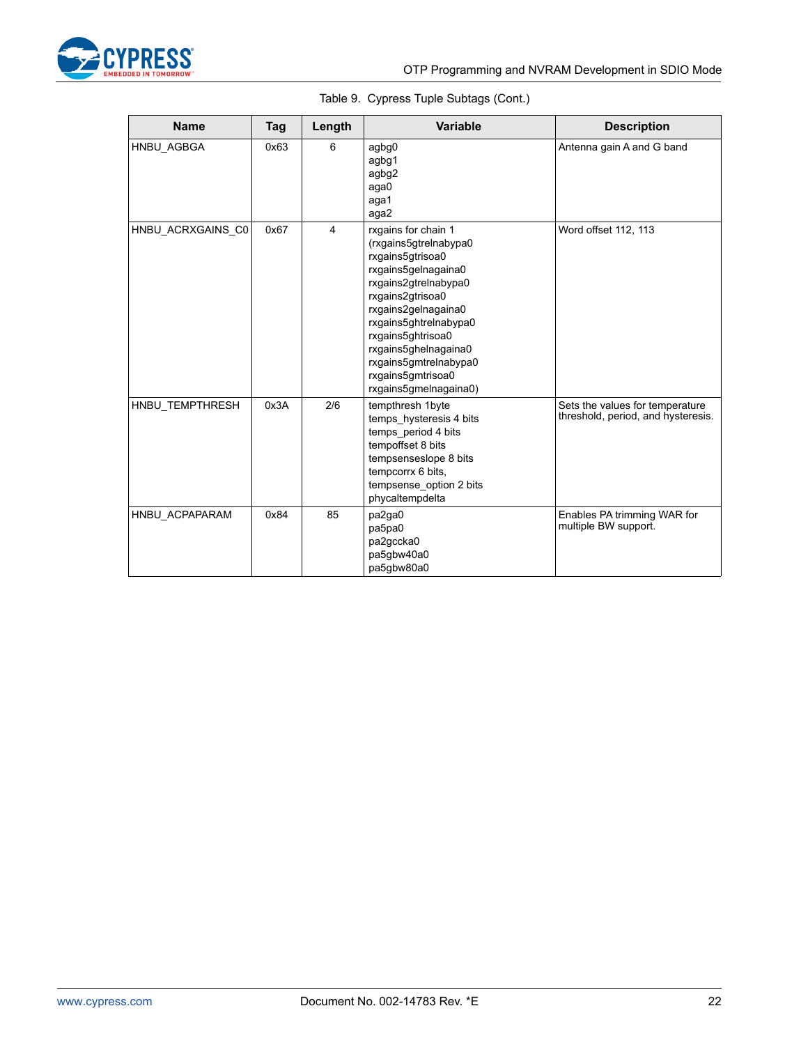

|  | Table 9. Cypress Tuple Subtags (Cont.) |  |  |  |
|--|----------------------------------------|--|--|--|
|--|----------------------------------------|--|--|--|

| <b>Name</b>       | <b>Tag</b> | Length         | Variable                                                                                                                                                                                                                                                                                                | <b>Description</b>                                                    |
|-------------------|------------|----------------|---------------------------------------------------------------------------------------------------------------------------------------------------------------------------------------------------------------------------------------------------------------------------------------------------------|-----------------------------------------------------------------------|
| HNBU AGBGA        | 0x63       | 6              | agbg0<br>agbg1<br>agbg2<br>aga0<br>aga1<br>aga2                                                                                                                                                                                                                                                         | Antenna gain A and G band                                             |
| HNBU_ACRXGAINS_C0 | 0x67       | $\overline{4}$ | rxgains for chain 1<br>(rxgains5gtrelnabypa0<br>rxgains5gtrisoa0<br>rxgains5gelnagaina0<br>rxgains2gtrelnabypa0<br>rxgains2gtrisoa0<br>rxgains2gelnagaina0<br>rxgains5ghtrelnabypa0<br>rxgains5ghtrisoa0<br>rxgains5ghelnagaina0<br>rxgains5gmtrelnabypa0<br>rxgains5gmtrisoa0<br>rxgains5gmelnagaina0) | Word offset 112, 113                                                  |
| HNBU TEMPTHRESH   | 0x3A       | 2/6            | tempthresh 1byte<br>temps hysteresis 4 bits<br>temps_period 4 bits<br>tempoffset 8 bits<br>tempsenseslope 8 bits<br>tempcorrx 6 bits.<br>tempsense option 2 bits<br>phycaltempdelta                                                                                                                     | Sets the values for temperature<br>threshold, period, and hysteresis. |
| HNBU ACPAPARAM    | 0x84       | 85             | pa2ga0<br>pa5pa0<br>pa2gccka0<br>pa5gbw40a0<br>pa5gbw80a0                                                                                                                                                                                                                                               | Enables PA trimming WAR for<br>multiple BW support.                   |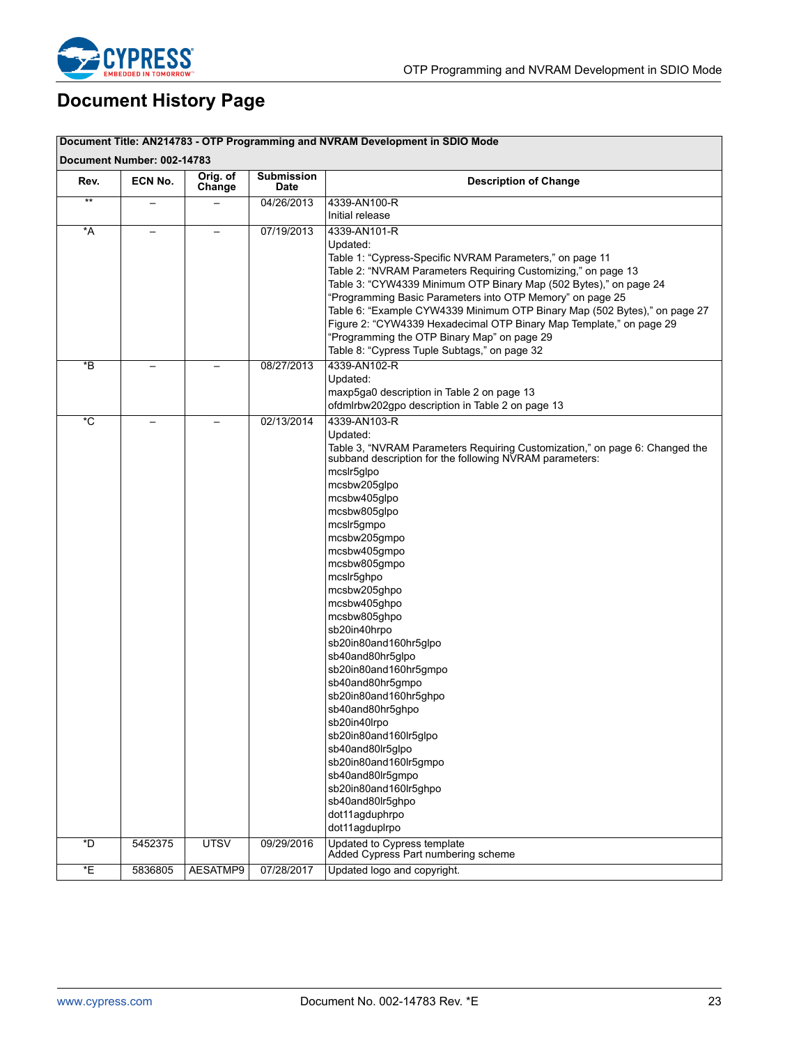

# <span id="page-22-0"></span>**Document History Page**

| Document Title: AN214783 - OTP Programming and NVRAM Development in SDIO Mode<br>Document Number: 002-14783 |         |                    |                           |                                                                                                                                                                                                                                                                                                                                                                                                                                                                                                                     |
|-------------------------------------------------------------------------------------------------------------|---------|--------------------|---------------------------|---------------------------------------------------------------------------------------------------------------------------------------------------------------------------------------------------------------------------------------------------------------------------------------------------------------------------------------------------------------------------------------------------------------------------------------------------------------------------------------------------------------------|
| Rev.                                                                                                        | ECN No. | Orig. of<br>Change | <b>Submission</b><br>Date | <b>Description of Change</b>                                                                                                                                                                                                                                                                                                                                                                                                                                                                                        |
| $**$                                                                                                        |         |                    | 04/26/2013                | 4339-AN100-R<br>Initial release                                                                                                                                                                                                                                                                                                                                                                                                                                                                                     |
| *A                                                                                                          |         |                    | 07/19/2013                | 4339-AN101-R<br>Updated:                                                                                                                                                                                                                                                                                                                                                                                                                                                                                            |
|                                                                                                             |         |                    |                           | Table 1: "Cypress-Specific NVRAM Parameters," on page 11<br>Table 2: "NVRAM Parameters Requiring Customizing," on page 13<br>Table 3: "CYW4339 Minimum OTP Binary Map (502 Bytes)," on page 24<br>"Programming Basic Parameters into OTP Memory" on page 25<br>Table 6: "Example CYW4339 Minimum OTP Binary Map (502 Bytes)," on page 27<br>Figure 2: "CYW4339 Hexadecimal OTP Binary Map Template," on page 29<br>"Programming the OTP Binary Map" on page 29<br>Table 8: "Cypress Tuple Subtags," on page 32      |
| *B                                                                                                          |         |                    | 08/27/2013                | 4339-AN102-R<br>Updated:                                                                                                                                                                                                                                                                                                                                                                                                                                                                                            |
|                                                                                                             |         |                    |                           | maxp5ga0 description in Table 2 on page 13<br>ofdmlrbw202gpo description in Table 2 on page 13                                                                                                                                                                                                                                                                                                                                                                                                                      |
| $\overline{C}$                                                                                              |         |                    | 02/13/2014                | 4339-AN103-R<br>Updated:<br>Table 3, "NVRAM Parameters Requiring Customization," on page 6: Changed the<br>subband description for the following NVRAM parameters:<br>mcslr5glpo<br>mcsbw205glpo<br>mcsbw405qlpo<br>mcsbw805glpo<br>mcslr5gmpo<br>mcsbw205gmpo<br>mcsbw405gmpo<br>mcsbw805gmpo<br>mcslr5ghpo<br>mcsbw205ghpo<br>mcsbw405ghpo<br>mcsbw805ghpo<br>sb20in40hrpo<br>sb20in80and160hr5glpo<br>sb40and80hr5glpo<br>sb20in80and160hr5gmpo<br>sb40and80hr5gmpo<br>sb20in80and160hr5ghpo<br>sb40and80hr5ghpo |
|                                                                                                             |         |                    |                           | sb20in40lrpo<br>sb20in80and160lr5glpo                                                                                                                                                                                                                                                                                                                                                                                                                                                                               |
|                                                                                                             |         |                    |                           | sb40and80lr5glpo<br>sb20in80and160lr5gmpo<br>sb40and80lr5gmpo                                                                                                                                                                                                                                                                                                                                                                                                                                                       |
|                                                                                                             |         |                    |                           | sb20in80and160lr5ghpo<br>sb40and80lr5qhpo<br>dot11aqduphrpo<br>dot11agduplrpo                                                                                                                                                                                                                                                                                                                                                                                                                                       |
| *D                                                                                                          | 5452375 | <b>UTSV</b>        | 09/29/2016                | Updated to Cypress template<br>Added Cypress Part numbering scheme                                                                                                                                                                                                                                                                                                                                                                                                                                                  |
| *E                                                                                                          | 5836805 | AESATMP9           | 07/28/2017                | Updated logo and copyright.                                                                                                                                                                                                                                                                                                                                                                                                                                                                                         |